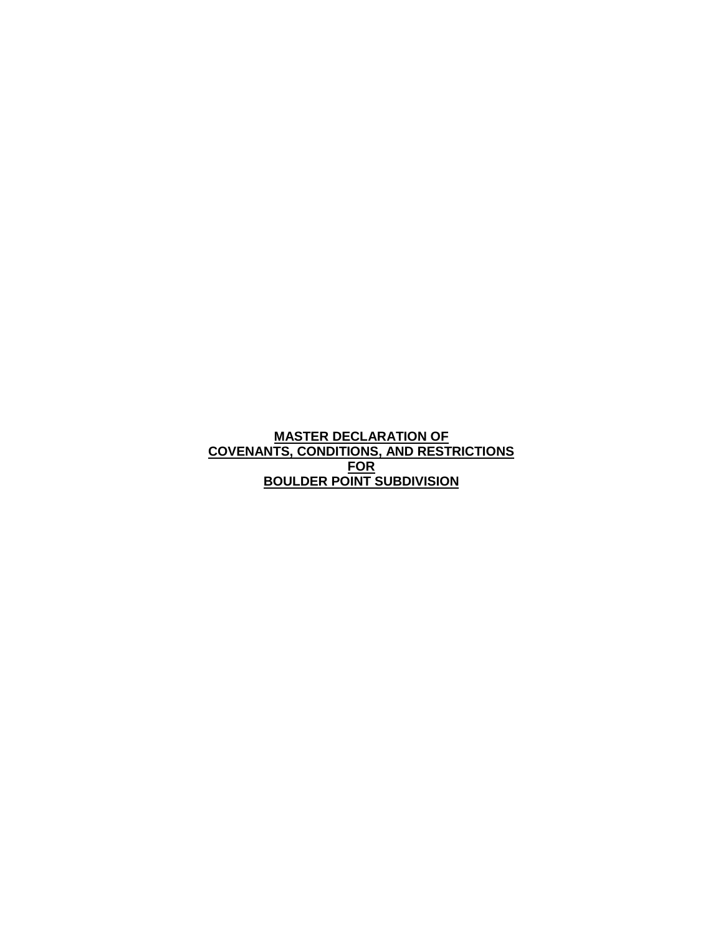**MASTER DECLARATION OF COVENANTS, CONDITIONS, AND RESTRICTIONS FOR BOULDER POINT SUBDIVISION**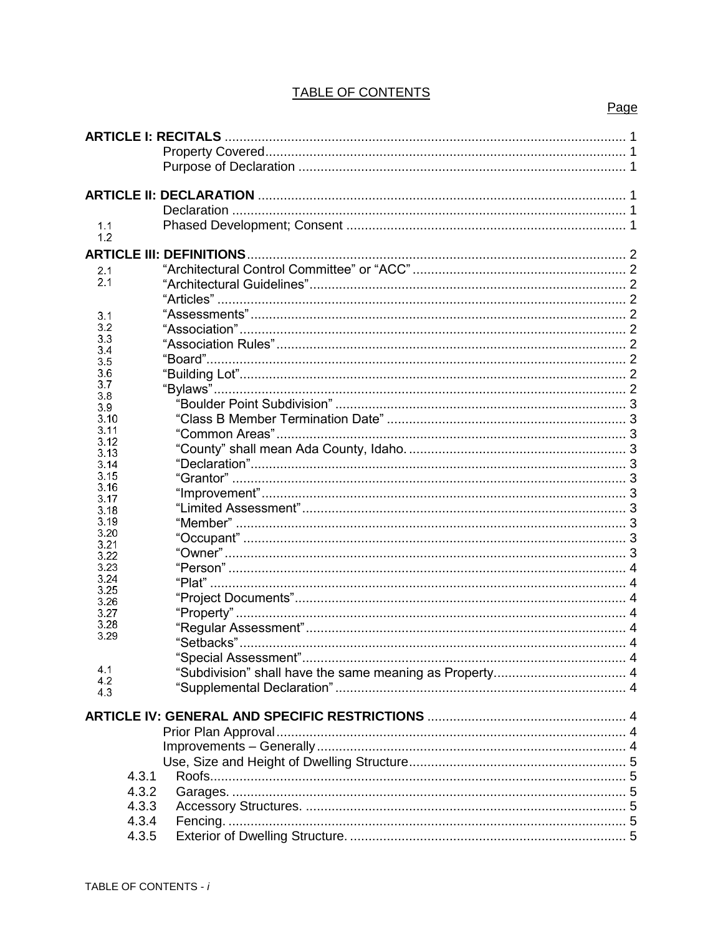# **TABLE OF CONTENTS**

#### $1.1$  $1.2$  $2.1$  $2.1$  $3.1$  $3.2$  $3.3$  $3.4$ <br> $3.5$ 3.6  $3.7$ 3.8  $\frac{3.9}{3.10}$  $3.11$  $3.12$  $3.13$  $3.14$ 3.15  $3.16$  $3.17$ 3.18 3.19 3.20  $3.21$ 3.22 3.23 3.24 3.25 3.26 3.27 3.28 3.29  $4.1$  $4.2$ 4.3  $4.3.1$  $4.3.2$ 4.3.3 4.3.4 4.3.5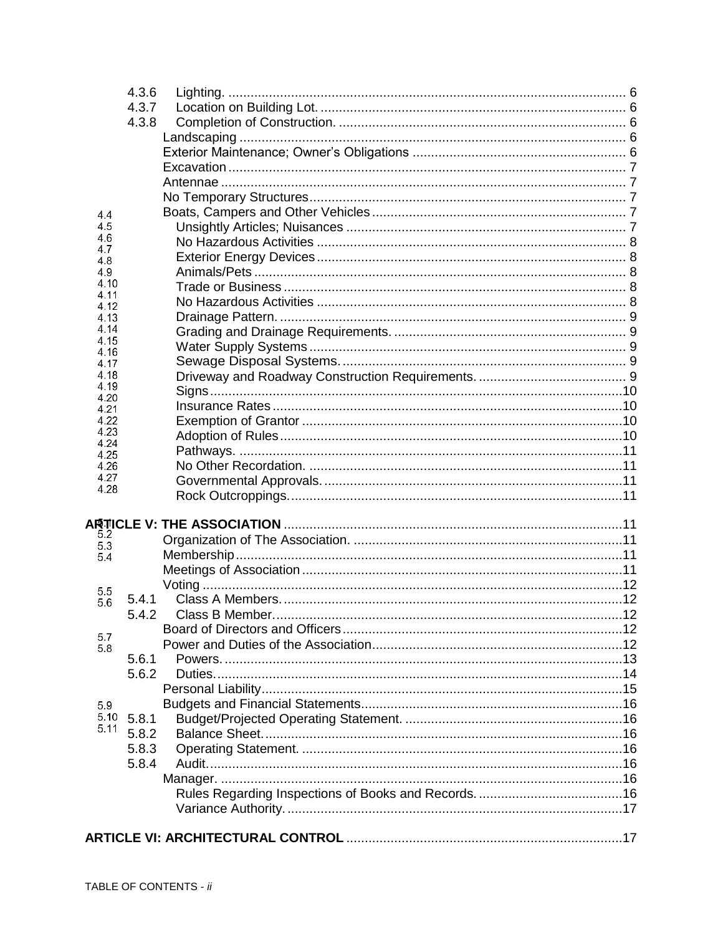|              | 4.3.6 |                       |  |  |  |  |
|--------------|-------|-----------------------|--|--|--|--|
|              | 4.3.7 |                       |  |  |  |  |
|              | 4.3.8 |                       |  |  |  |  |
|              |       |                       |  |  |  |  |
|              |       |                       |  |  |  |  |
|              |       |                       |  |  |  |  |
|              |       |                       |  |  |  |  |
|              |       |                       |  |  |  |  |
| 4.4          |       |                       |  |  |  |  |
| 4.5          |       |                       |  |  |  |  |
| 4.6          |       |                       |  |  |  |  |
| 4.7<br>4.8   |       |                       |  |  |  |  |
| 4.9          |       |                       |  |  |  |  |
| 4.10         |       |                       |  |  |  |  |
| 4.11<br>4.12 |       |                       |  |  |  |  |
| 4.13         |       |                       |  |  |  |  |
| 4.14         |       |                       |  |  |  |  |
| 4.15         |       |                       |  |  |  |  |
| 4.16<br>4.17 |       |                       |  |  |  |  |
| 4.18         |       |                       |  |  |  |  |
| 4.19         |       |                       |  |  |  |  |
| 4.20<br>4.21 |       |                       |  |  |  |  |
| 4.22         |       |                       |  |  |  |  |
| 4.23         |       |                       |  |  |  |  |
| 4.24         |       |                       |  |  |  |  |
| 4.25<br>4.26 |       |                       |  |  |  |  |
| 4.27         |       |                       |  |  |  |  |
| 4.28         |       |                       |  |  |  |  |
|              |       |                       |  |  |  |  |
|              |       |                       |  |  |  |  |
| 5.2          |       |                       |  |  |  |  |
| 5.3<br>5.4   |       |                       |  |  |  |  |
|              |       |                       |  |  |  |  |
|              |       |                       |  |  |  |  |
| 5.5<br>5.6   | 5.4.1 |                       |  |  |  |  |
|              |       | 5.4.2 Class B Member. |  |  |  |  |
|              |       |                       |  |  |  |  |
| 5.7<br>5.8   |       |                       |  |  |  |  |
|              | 5.6.1 |                       |  |  |  |  |
|              | 5.6.2 |                       |  |  |  |  |
|              |       |                       |  |  |  |  |
| 5.9          |       |                       |  |  |  |  |
| 5.10         | 5.8.1 |                       |  |  |  |  |
| 5.11         | 5.8.2 |                       |  |  |  |  |
|              | 5.8.3 |                       |  |  |  |  |
|              | 5.8.4 |                       |  |  |  |  |
|              |       |                       |  |  |  |  |
|              |       |                       |  |  |  |  |
|              |       |                       |  |  |  |  |
|              |       |                       |  |  |  |  |
|              |       |                       |  |  |  |  |
|              |       |                       |  |  |  |  |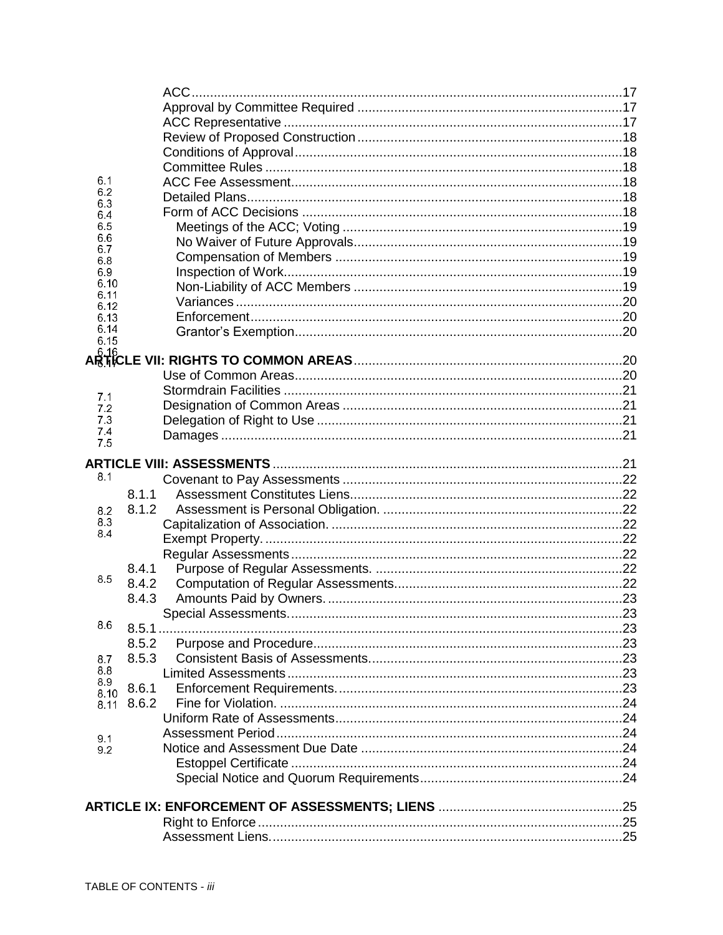| 6.1          |       |  |  |  |  |  |  |  |
|--------------|-------|--|--|--|--|--|--|--|
| 6.2<br>6.3   |       |  |  |  |  |  |  |  |
| 6.4          |       |  |  |  |  |  |  |  |
| 6.5          |       |  |  |  |  |  |  |  |
| 6.6<br>6.7   |       |  |  |  |  |  |  |  |
| 6.8          |       |  |  |  |  |  |  |  |
| 6.9          |       |  |  |  |  |  |  |  |
| 6.10         |       |  |  |  |  |  |  |  |
| 6.11<br>6.12 |       |  |  |  |  |  |  |  |
| 6.13         |       |  |  |  |  |  |  |  |
| 6.14         |       |  |  |  |  |  |  |  |
| 6.15         |       |  |  |  |  |  |  |  |
|              |       |  |  |  |  |  |  |  |
|              |       |  |  |  |  |  |  |  |
| 7.1          |       |  |  |  |  |  |  |  |
| 7.2          |       |  |  |  |  |  |  |  |
| 7.3          |       |  |  |  |  |  |  |  |
| 7.4<br>7.5   |       |  |  |  |  |  |  |  |
|              |       |  |  |  |  |  |  |  |
|              |       |  |  |  |  |  |  |  |
| 8.1          |       |  |  |  |  |  |  |  |
|              | 8.1.1 |  |  |  |  |  |  |  |
| 8.2          | 8.1.2 |  |  |  |  |  |  |  |
| 8.3<br>8.4   |       |  |  |  |  |  |  |  |
|              |       |  |  |  |  |  |  |  |
|              |       |  |  |  |  |  |  |  |
|              | 8.4.1 |  |  |  |  |  |  |  |
| 8.5          | 8.4.2 |  |  |  |  |  |  |  |
|              | 8.4.3 |  |  |  |  |  |  |  |
|              |       |  |  |  |  |  |  |  |
| 8.6          |       |  |  |  |  |  |  |  |
|              | 8.5.2 |  |  |  |  |  |  |  |
| 8.7          | 8.5.3 |  |  |  |  |  |  |  |
| 8.8<br>8.9   |       |  |  |  |  |  |  |  |
| 8.10         | 8.6.1 |  |  |  |  |  |  |  |
| 8.11         | 8.6.2 |  |  |  |  |  |  |  |
|              |       |  |  |  |  |  |  |  |
| 9.1          |       |  |  |  |  |  |  |  |
| 9.2          |       |  |  |  |  |  |  |  |
|              |       |  |  |  |  |  |  |  |
|              |       |  |  |  |  |  |  |  |
|              |       |  |  |  |  |  |  |  |
|              |       |  |  |  |  |  |  |  |
|              |       |  |  |  |  |  |  |  |
|              |       |  |  |  |  |  |  |  |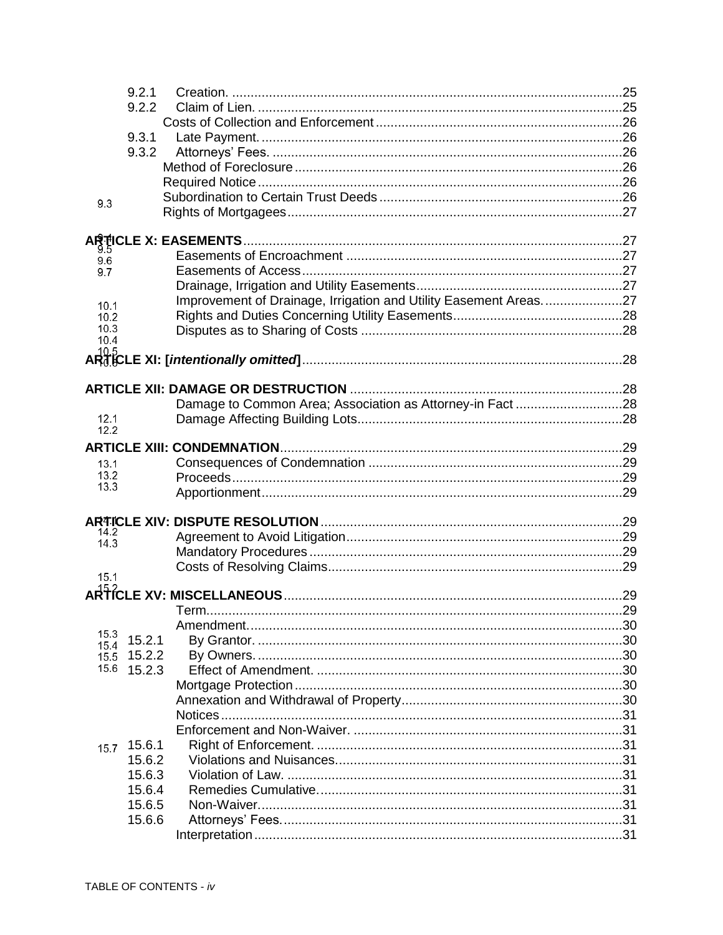|              | 9.2.1  |                                                                  |  |
|--------------|--------|------------------------------------------------------------------|--|
|              | 9.2.2  |                                                                  |  |
|              |        |                                                                  |  |
|              | 9.3.1  |                                                                  |  |
|              | 9.3.2  |                                                                  |  |
|              |        |                                                                  |  |
|              |        |                                                                  |  |
|              |        |                                                                  |  |
| 9.3          |        |                                                                  |  |
|              |        |                                                                  |  |
|              |        |                                                                  |  |
| 9.6          |        |                                                                  |  |
| 9.7          |        |                                                                  |  |
|              |        |                                                                  |  |
|              |        | Improvement of Drainage, Irrigation and Utility Easement Areas27 |  |
| 10.1<br>10.2 |        |                                                                  |  |
| 10.3         |        |                                                                  |  |
| 10.4         |        |                                                                  |  |
|              |        |                                                                  |  |
|              |        |                                                                  |  |
|              |        |                                                                  |  |
|              |        |                                                                  |  |
| 12.1         |        |                                                                  |  |
| 12.2         |        |                                                                  |  |
|              |        |                                                                  |  |
| 13.1         |        |                                                                  |  |
| 13.2         |        |                                                                  |  |
| 13.3         |        |                                                                  |  |
|              |        |                                                                  |  |
|              |        |                                                                  |  |
| 14.2         |        |                                                                  |  |
| 14.3         |        |                                                                  |  |
|              |        |                                                                  |  |
| 15.1         |        |                                                                  |  |
|              |        |                                                                  |  |
|              |        |                                                                  |  |
|              |        |                                                                  |  |
| 15.3         | 15.2.1 |                                                                  |  |
| 15.4<br>15.5 | 15.2.2 |                                                                  |  |
| 15.6         | 15.2.3 |                                                                  |  |
|              |        |                                                                  |  |
|              |        |                                                                  |  |
|              |        |                                                                  |  |
|              |        |                                                                  |  |
|              | 15.6.1 |                                                                  |  |
| 15.7         | 15.6.2 |                                                                  |  |
|              | 15.6.3 |                                                                  |  |
|              |        |                                                                  |  |
|              | 15.6.4 |                                                                  |  |
|              | 15.6.5 |                                                                  |  |
|              | 15.6.6 |                                                                  |  |
|              |        |                                                                  |  |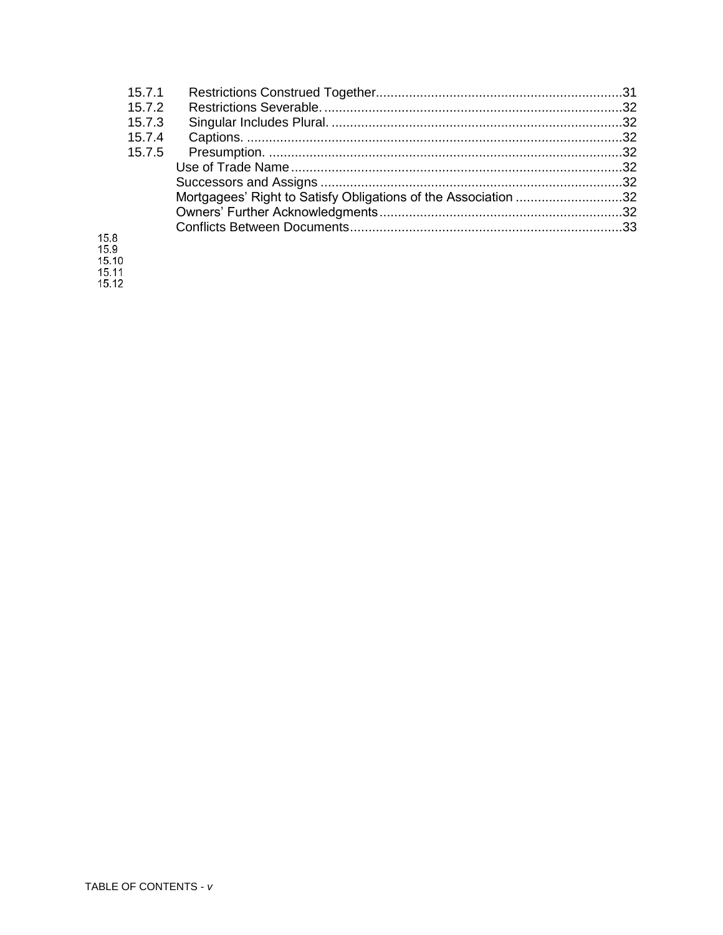| 15.7.1 |                                                                |  |
|--------|----------------------------------------------------------------|--|
| 15.7.2 |                                                                |  |
| 15.7.3 |                                                                |  |
| 15.7.4 |                                                                |  |
| 15.7.5 |                                                                |  |
|        |                                                                |  |
|        |                                                                |  |
|        | Mortgagees' Right to Satisfy Obligations of the Association 32 |  |
|        |                                                                |  |
|        |                                                                |  |
|        |                                                                |  |
|        |                                                                |  |

15.8<br>15.9<br>15.10<br>15.11<br>15.12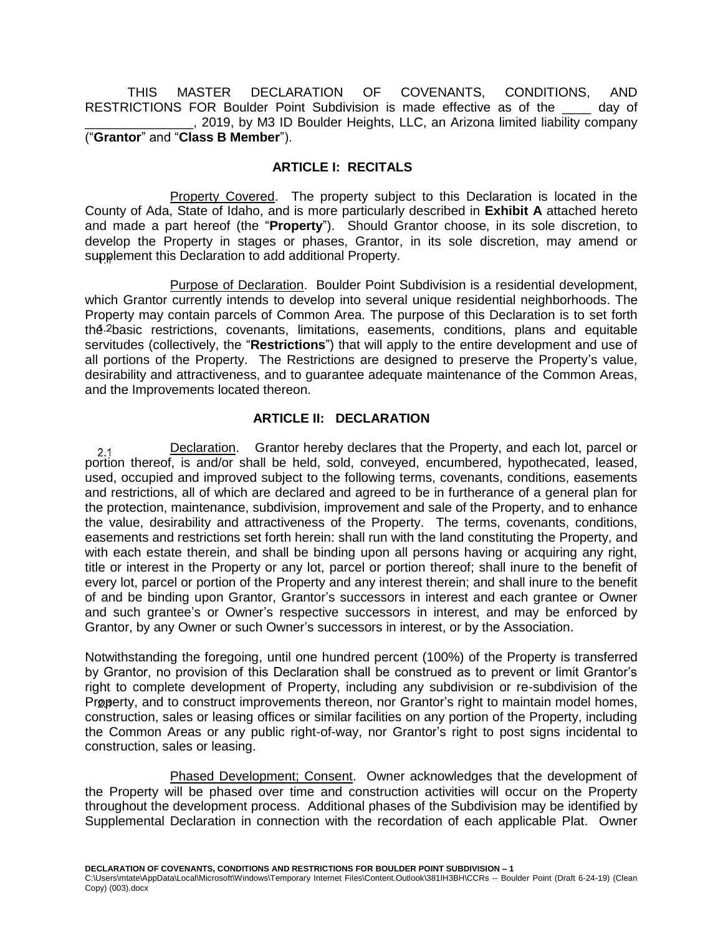THIS MASTER DECLARATION OF COVENANTS, CONDITIONS, AND RESTRICTIONS FOR Boulder Point Subdivision is made effective as of the day of \_\_\_\_\_\_\_\_\_\_\_\_\_\_\_, 2019, by M3 ID Boulder Heights, LLC, an Arizona limited liability company ("**Grantor**" and "**Class B Member**").

## **ARTICLE I: RECITALS**

<span id="page-6-1"></span><span id="page-6-0"></span>Property Covered. The property subject to this Declaration is located in the County of Ada, State of Idaho, and is more particularly described in **Exhibit A** attached hereto and made a part hereof (the "**Property**"). Should Grantor choose, in its sole discretion, to develop the Property in stages or phases, Grantor, in its sole discretion, may amend or supplement this Declaration to add additional Property.

<span id="page-6-2"></span>Purpose of Declaration. Boulder Point Subdivision is a residential development, which Grantor currently intends to develop into several unique residential neighborhoods. The Property may contain parcels of Common Area. The purpose of this Declaration is to set forth the  $2$  basic restrictions, covenants, limitations, easements, conditions, plans and equitable servitudes (collectively, the "**Restrictions**") that will apply to the entire development and use of all portions of the Property. The Restrictions are designed to preserve the Property's value, desirability and attractiveness, and to guarantee adequate maintenance of the Common Areas, and the Improvements located thereon.

## <span id="page-6-3"></span>**ARTICLE II: DECLARATION**

<span id="page-6-4"></span>Declaration. Grantor hereby declares that the Property, and each lot, parcel or  $2.1$ portion thereof, is and/or shall be held, sold, conveyed, encumbered, hypothecated, leased, used, occupied and improved subject to the following terms, covenants, conditions, easements and restrictions, all of which are declared and agreed to be in furtherance of a general plan for the protection, maintenance, subdivision, improvement and sale of the Property, and to enhance the value, desirability and attractiveness of the Property. The terms, covenants, conditions, easements and restrictions set forth herein: shall run with the land constituting the Property, and with each estate therein, and shall be binding upon all persons having or acquiring any right, title or interest in the Property or any lot, parcel or portion thereof; shall inure to the benefit of every lot, parcel or portion of the Property and any interest therein; and shall inure to the benefit of and be binding upon Grantor, Grantor's successors in interest and each grantee or Owner and such grantee's or Owner's respective successors in interest, and may be enforced by Grantor, by any Owner or such Owner's successors in interest, or by the Association.

Notwithstanding the foregoing, until one hundred percent (100%) of the Property is transferred by Grantor, no provision of this Declaration shall be construed as to prevent or limit Grantor's right to complete development of Property, including any subdivision or re-subdivision of the Property, and to construct improvements thereon, nor Grantor's right to maintain model homes, construction, sales or leasing offices or similar facilities on any portion of the Property, including the Common Areas or any public right-of-way, nor Grantor's right to post signs incidental to construction, sales or leasing.

<span id="page-6-5"></span>Phased Development; Consent. Owner acknowledges that the development of the Property will be phased over time and construction activities will occur on the Property throughout the development process. Additional phases of the Subdivision may be identified by Supplemental Declaration in connection with the recordation of each applicable Plat. Owner

**DECLARATION OF COVENANTS, CONDITIONS AND RESTRICTIONS FOR BOULDER POINT SUBDIVISION – 1** C:\Users\mtate\AppData\Local\Microsoft\Windows\Temporary Internet Files\Content.Outlook\381IH3BH\CCRs -- Boulder Point (Draft 6-24-19) (Clean Copy) (003).docx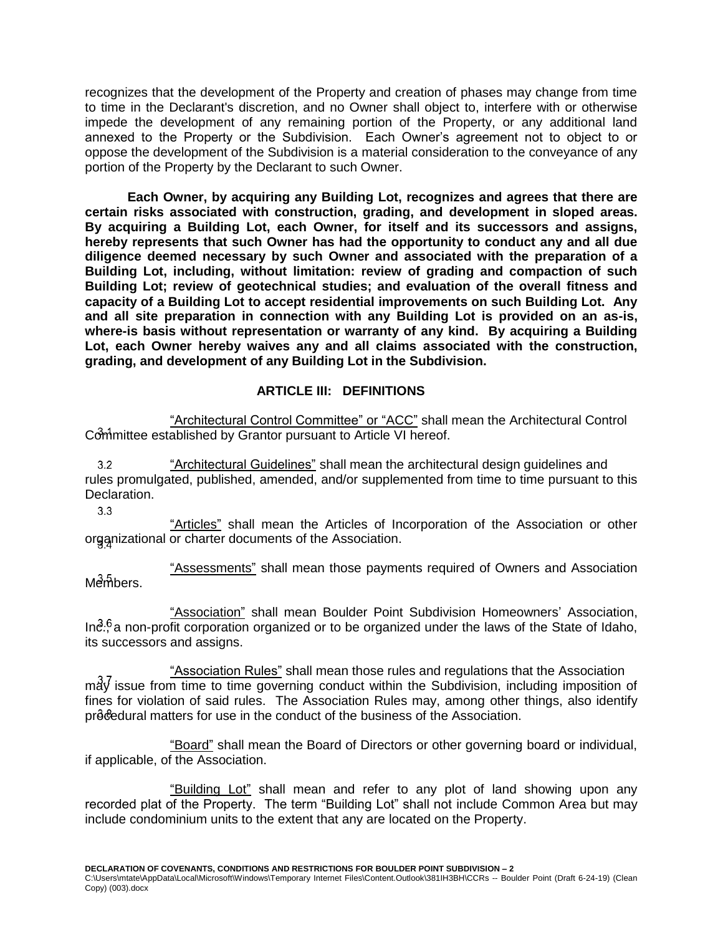recognizes that the development of the Property and creation of phases may change from time to time in the Declarant's discretion, and no Owner shall object to, interfere with or otherwise impede the development of any remaining portion of the Property, or any additional land annexed to the Property or the Subdivision. Each Owner's agreement not to object to or oppose the development of the Subdivision is a material consideration to the conveyance of any portion of the Property by the Declarant to such Owner.

**Each Owner, by acquiring any Building Lot, recognizes and agrees that there are certain risks associated with construction, grading, and development in sloped areas. By acquiring a Building Lot, each Owner, for itself and its successors and assigns, hereby represents that such Owner has had the opportunity to conduct any and all due diligence deemed necessary by such Owner and associated with the preparation of a Building Lot, including, without limitation: review of grading and compaction of such Building Lot; review of geotechnical studies; and evaluation of the overall fitness and capacity of a Building Lot to accept residential improvements on such Building Lot. Any and all site preparation in connection with any Building Lot is provided on an as-is, where-is basis without representation or warranty of any kind. By acquiring a Building Lot, each Owner hereby waives any and all claims associated with the construction, grading, and development of any Building Lot in the Subdivision.**

## <span id="page-7-0"></span>**ARTICLE III: DEFINITIONS**

<span id="page-7-1"></span>"Architectural Control Committee" or "ACC" shall mean the Architectural Control Committee established by Grantor pursuant to Article VI hereof.

<span id="page-7-2"></span>"Architectural Guidelines" shall mean the architectural design guidelines and  $3.2$ rules promulgated, published, amended, and/or supplemented from time to time pursuant to this Declaration.

3.3

<span id="page-7-3"></span>"Articles" shall mean the Articles of Incorporation of the Association or other organizational or charter documents of the Association.

<span id="page-7-4"></span>"Assessments" shall mean those payments required of Owners and Association Members.

<span id="page-7-5"></span>"Association" shall mean Boulder Point Subdivision Homeowners' Association,  $In<sup>2.6</sup>$  a non-profit corporation organized or to be organized under the laws of the State of Idaho, its successors and assigns.

<span id="page-7-6"></span>"Association Rules" shall mean those rules and regulations that the Association  $m\ddot{\mathrm{d}}\dot{\mathrm{y}}$  issue from time to time governing conduct within the Subdivision, including imposition of fines for violation of said rules. The Association Rules may, among other things, also identify procedural matters for use in the conduct of the business of the Association.

<span id="page-7-7"></span>"Board" shall mean the Board of Directors or other governing board or individual, if applicable, of the Association.

<span id="page-7-8"></span>"Building Lot" shall mean and refer to any plot of land showing upon any recorded plat of the Property. The term "Building Lot" shall not include Common Area but may include condominium units to the extent that any are located on the Property.

**DECLARATION OF COVENANTS, CONDITIONS AND RESTRICTIONS FOR BOULDER POINT SUBDIVISION – 2**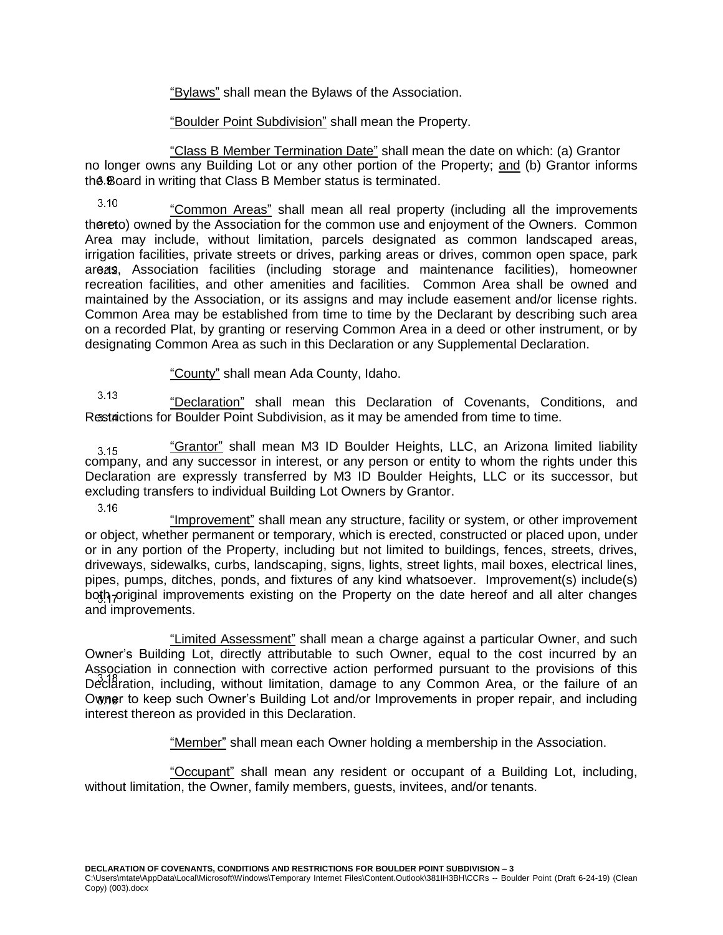"Bylaws" shall mean the Bylaws of the Association.

"Boulder Point Subdivision" shall mean the Property.

<span id="page-8-2"></span><span id="page-8-1"></span><span id="page-8-0"></span>"Class B Member Termination Date" shall mean the date on which: (a) Grantor no longer owns any Building Lot or any other portion of the Property; and (b) Grantor informs the Board in writing that Class B Member status is terminated.

<span id="page-8-3"></span> $3.10$ "Common Areas" shall mean all real property (including all the improvements thereto) owned by the Association for the common use and enjoyment of the Owners. Common Area may include, without limitation, parcels designated as common landscaped areas, irrigation facilities, private streets or drives, parking areas or drives, common open space, park areas, Association facilities (including storage and maintenance facilities), homeowner recreation facilities, and other amenities and facilities. Common Area shall be owned and maintained by the Association, or its assigns and may include easement and/or license rights. Common Area may be established from time to time by the Declarant by describing such area on a recorded Plat, by granting or reserving Common Area in a deed or other instrument, or by designating Common Area as such in this Declaration or any Supplemental Declaration.

"County" shall mean Ada County, Idaho.

<span id="page-8-5"></span><span id="page-8-4"></span> $3.13$ "Declaration" shall mean this Declaration of Covenants, Conditions, and Restactions for Boulder Point Subdivision, as it may be amended from time to time.

<span id="page-8-6"></span>"Grantor" shall mean M3 ID Boulder Heights, LLC, an Arizona limited liability  $3.15$ company, and any successor in interest, or any person or entity to whom the rights under this Declaration are expressly transferred by M3 ID Boulder Heights, LLC or its successor, but excluding transfers to individual Building Lot Owners by Grantor.

 $3.16$ 

<span id="page-8-7"></span>"Improvement" shall mean any structure, facility or system, or other improvement or object, whether permanent or temporary, which is erected, constructed or placed upon, under or in any portion of the Property, including but not limited to buildings, fences, streets, drives, driveways, sidewalks, curbs, landscaping, signs, lights, street lights, mail boxes, electrical lines, pipes, pumps, ditches, ponds, and fixtures of any kind whatsoever. Improvement(s) include(s) both original improvements existing on the Property on the date hereof and all alter changes and improvements.

<span id="page-8-8"></span>"Limited Assessment" shall mean a charge against a particular Owner, and such Owner's Building Lot, directly attributable to such Owner, equal to the cost incurred by an Association in connection with corrective action performed pursuant to the provisions of this Declaration, including, without limitation, damage to any Common Area, or the failure of an Owner to keep such Owner's Building Lot and/or Improvements in proper repair, and including interest thereon as provided in this Declaration.

"Member" shall mean each Owner holding a membership in the Association.

<span id="page-8-10"></span><span id="page-8-9"></span>"Occupant" shall mean any resident or occupant of a Building Lot, including, without limitation, the Owner, family members, guests, invitees, and/or tenants.

**DECLARATION OF COVENANTS, CONDITIONS AND RESTRICTIONS FOR BOULDER POINT SUBDIVISION – 3**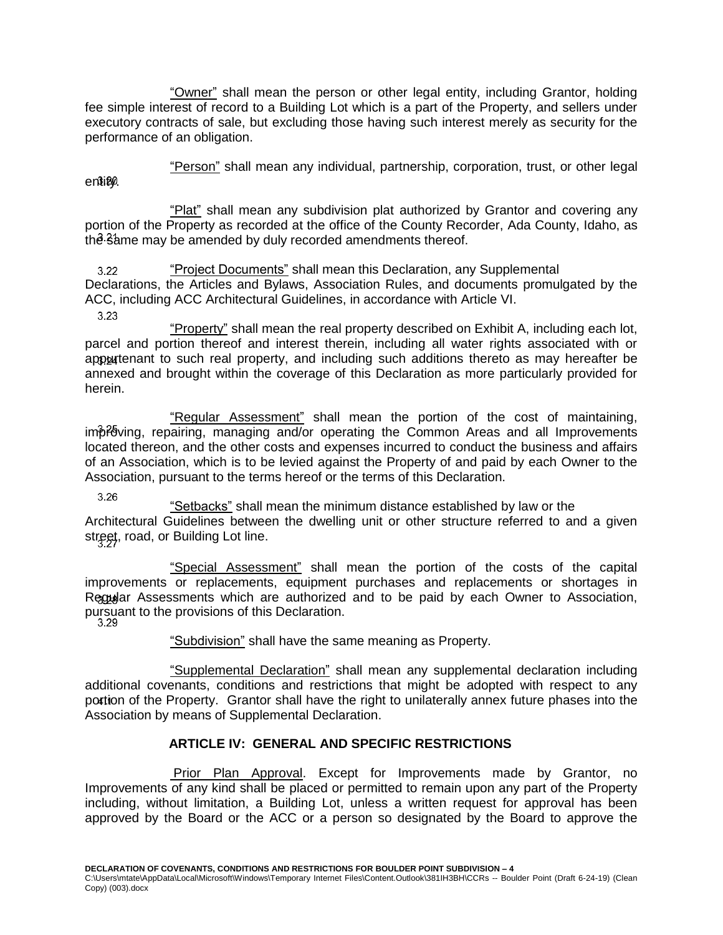<span id="page-9-0"></span>"Owner" shall mean the person or other legal entity, including Grantor, holding fee simple interest of record to a Building Lot which is a part of the Property, and sellers under executory contracts of sale, but excluding those having such interest merely as security for the performance of an obligation.

"Person" shall mean any individual, partnership, corporation, trust, or other legal

<span id="page-9-2"></span>"Plat" shall mean any subdivision plat authorized by Grantor and covering any portion of the Property as recorded at the office of the County Recorder, Ada County, Idaho, as the same may be amended by duly recorded amendments thereof.

<span id="page-9-3"></span>"Project Documents" shall mean this Declaration, any Supplemental  $3.22$ Declarations, the Articles and Bylaws, Association Rules, and documents promulgated by the ACC, including ACC Architectural Guidelines, in accordance with Article VI.

3.23

<span id="page-9-1"></span>entity.

<span id="page-9-4"></span>"Property" shall mean the real property described on Exhibit A, including each lot, parcel and portion thereof and interest therein, including all water rights associated with or appurtenant to such real property, and including such additions thereto as may hereafter be annexed and brought within the coverage of this Declaration as more particularly provided for herein.

<span id="page-9-5"></span>"Regular Assessment" shall mean the portion of the cost of maintaining, improving, repairing, managing and/or operating the Common Areas and all Improvements located thereon, and the other costs and expenses incurred to conduct the business and affairs of an Association, which is to be levied against the Property of and paid by each Owner to the Association, pursuant to the terms hereof or the terms of this Declaration.

3.26

"Setbacks" shall mean the minimum distance established by law or the

<span id="page-9-6"></span>Architectural Guidelines between the dwelling unit or other structure referred to and a given street, road, or Building Lot line.

<span id="page-9-7"></span>"Special Assessment" shall mean the portion of the costs of the capital improvements or replacements, equipment purchases and replacements or shortages in Regular Assessments which are authorized and to be paid by each Owner to Association, pursuant to the provisions of this Declaration.<br>3.29

<span id="page-9-8"></span>

"Subdivision" shall have the same meaning as Property.

<span id="page-9-9"></span>"Supplemental Declaration" shall mean any supplemental declaration including additional covenants, conditions and restrictions that might be adopted with respect to any portion of the Property. Grantor shall have the right to unilaterally annex future phases into the Association by means of Supplemental Declaration.

# <span id="page-9-11"></span>**ARTICLE IV: GENERAL AND SPECIFIC RESTRICTIONS**

<span id="page-9-10"></span>Prior Plan Approval. Except for Improvements made by Grantor, no Improvements of any kind shall be placed or permitted to remain upon any part of the Property including, without limitation, a Building Lot, unless a written request for approval has been approved by the Board or the ACC or a person so designated by the Board to approve the

**DECLARATION OF COVENANTS, CONDITIONS AND RESTRICTIONS FOR BOULDER POINT SUBDIVISION – 4**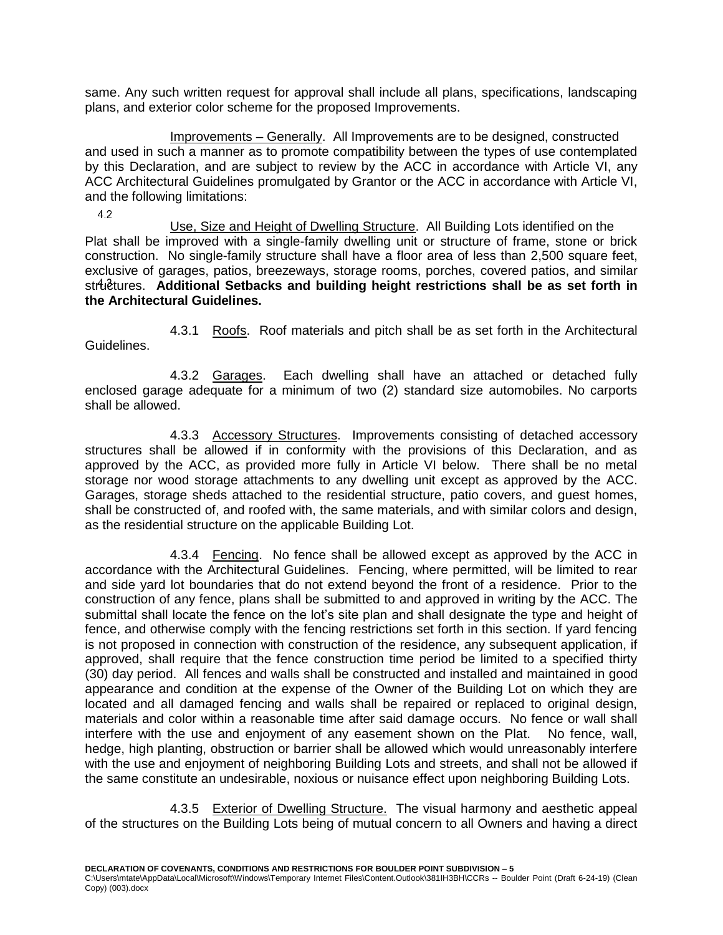same. Any such written request for approval shall include all plans, specifications, landscaping plans, and exterior color scheme for the proposed Improvements.

<span id="page-10-0"></span>Improvements – Generally. All Improvements are to be designed, constructed and used in such a manner as to promote compatibility between the types of use contemplated by this Declaration, and are subject to review by the ACC in accordance with Article VI, any ACC Architectural Guidelines promulgated by Grantor or the ACC in accordance with Article VI, and the following limitations:

4.2

<span id="page-10-1"></span>Use, Size and Height of Dwelling Structure. All Building Lots identified on the Plat shall be improved with a single-family dwelling unit or structure of frame, stone or brick construction. No single-family structure shall have a floor area of less than 2,500 square feet, exclusive of garages, patios, breezeways, storage rooms, porches, covered patios, and similar strutures. Additional Setbacks and building height restrictions shall be as set forth in **the Architectural Guidelines.**

<span id="page-10-2"></span>4.3.1 Roofs. Roof materials and pitch shall be as set forth in the Architectural Guidelines.

<span id="page-10-3"></span>4.3.2 Garages. Each dwelling shall have an attached or detached fully enclosed garage adequate for a minimum of two (2) standard size automobiles. No carports shall be allowed.

<span id="page-10-4"></span>4.3.3 Accessory Structures. Improvements consisting of detached accessory structures shall be allowed if in conformity with the provisions of this Declaration, and as approved by the ACC, as provided more fully in Article VI below. There shall be no metal storage nor wood storage attachments to any dwelling unit except as approved by the ACC. Garages, storage sheds attached to the residential structure, patio covers, and guest homes, shall be constructed of, and roofed with, the same materials, and with similar colors and design, as the residential structure on the applicable Building Lot.

<span id="page-10-5"></span>4.3.4 Fencing. No fence shall be allowed except as approved by the ACC in accordance with the Architectural Guidelines. Fencing, where permitted, will be limited to rear and side yard lot boundaries that do not extend beyond the front of a residence. Prior to the construction of any fence, plans shall be submitted to and approved in writing by the ACC. The submittal shall locate the fence on the lot's site plan and shall designate the type and height of fence, and otherwise comply with the fencing restrictions set forth in this section. If yard fencing is not proposed in connection with construction of the residence, any subsequent application, if approved, shall require that the fence construction time period be limited to a specified thirty (30) day period. All fences and walls shall be constructed and installed and maintained in good appearance and condition at the expense of the Owner of the Building Lot on which they are located and all damaged fencing and walls shall be repaired or replaced to original design, materials and color within a reasonable time after said damage occurs. No fence or wall shall interfere with the use and enjoyment of any easement shown on the Plat. No fence, wall, hedge, high planting, obstruction or barrier shall be allowed which would unreasonably interfere with the use and enjoyment of neighboring Building Lots and streets, and shall not be allowed if the same constitute an undesirable, noxious or nuisance effect upon neighboring Building Lots.

<span id="page-10-6"></span>4.3.5 Exterior of Dwelling Structure. The visual harmony and aesthetic appeal of the structures on the Building Lots being of mutual concern to all Owners and having a direct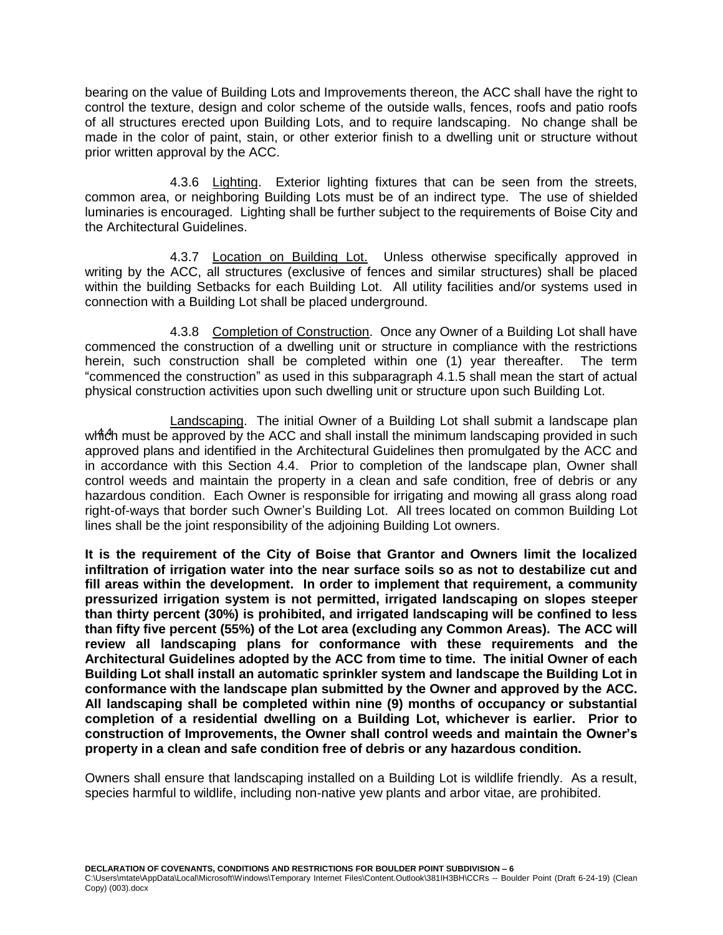bearing on the value of Building Lots and Improvements thereon, the ACC shall have the right to control the texture, design and color scheme of the outside walls, fences, roofs and patio roofs of all structures erected upon Building Lots, and to require landscaping. No change shall be made in the color of paint, stain, or other exterior finish to a dwelling unit or structure without prior written approval by the ACC.

<span id="page-11-0"></span>4.3.6 Lighting. Exterior lighting fixtures that can be seen from the streets, common area, or neighboring Building Lots must be of an indirect type. The use of shielded luminaries is encouraged. Lighting shall be further subject to the requirements of Boise City and the Architectural Guidelines.

<span id="page-11-1"></span>4.3.7 Location on Building Lot. Unless otherwise specifically approved in writing by the ACC, all structures (exclusive of fences and similar structures) shall be placed within the building Setbacks for each Building Lot. All utility facilities and/or systems used in connection with a Building Lot shall be placed underground.

<span id="page-11-2"></span>4.3.8 Completion of Construction. Once any Owner of a Building Lot shall have commenced the construction of a dwelling unit or structure in compliance with the restrictions herein, such construction shall be completed within one (1) year thereafter. The term "commenced the construction" as used in this subparagraph 4.1.5 shall mean the start of actual physical construction activities upon such dwelling unit or structure upon such Building Lot.

<span id="page-11-3"></span>Landscaping. The initial Owner of a Building Lot shall submit a landscape plan which must be approved by the ACC and shall install the minimum landscaping provided in such approved plans and identified in the Architectural Guidelines then promulgated by the ACC and in accordance with this Section 4.4. Prior to completion of the landscape plan, Owner shall control weeds and maintain the property in a clean and safe condition, free of debris or any hazardous condition. Each Owner is responsible for irrigating and mowing all grass along road right-of-ways that border such Owner's Building Lot. All trees located on common Building Lot lines shall be the joint responsibility of the adjoining Building Lot owners.

**It is the requirement of the City of Boise that Grantor and Owners limit the localized infiltration of irrigation water into the near surface soils so as not to destabilize cut and fill areas within the development. In order to implement that requirement, a community pressurized irrigation system is not permitted, irrigated landscaping on slopes steeper than thirty percent (30%) is prohibited, and irrigated landscaping will be confined to less than fifty five percent (55%) of the Lot area (excluding any Common Areas). The ACC will review all landscaping plans for conformance with these requirements and the Architectural Guidelines adopted by the ACC from time to time. The initial Owner of each Building Lot shall install an automatic sprinkler system and landscape the Building Lot in conformance with the landscape plan submitted by the Owner and approved by the ACC. All landscaping shall be completed within nine (9) months of occupancy or substantial completion of a residential dwelling on a Building Lot, whichever is earlier. Prior to construction of Improvements, the Owner shall control weeds and maintain the Owner's property in a clean and safe condition free of debris or any hazardous condition.**

Owners shall ensure that landscaping installed on a Building Lot is wildlife friendly. As a result, species harmful to wildlife, including non-native yew plants and arbor vitae, are prohibited.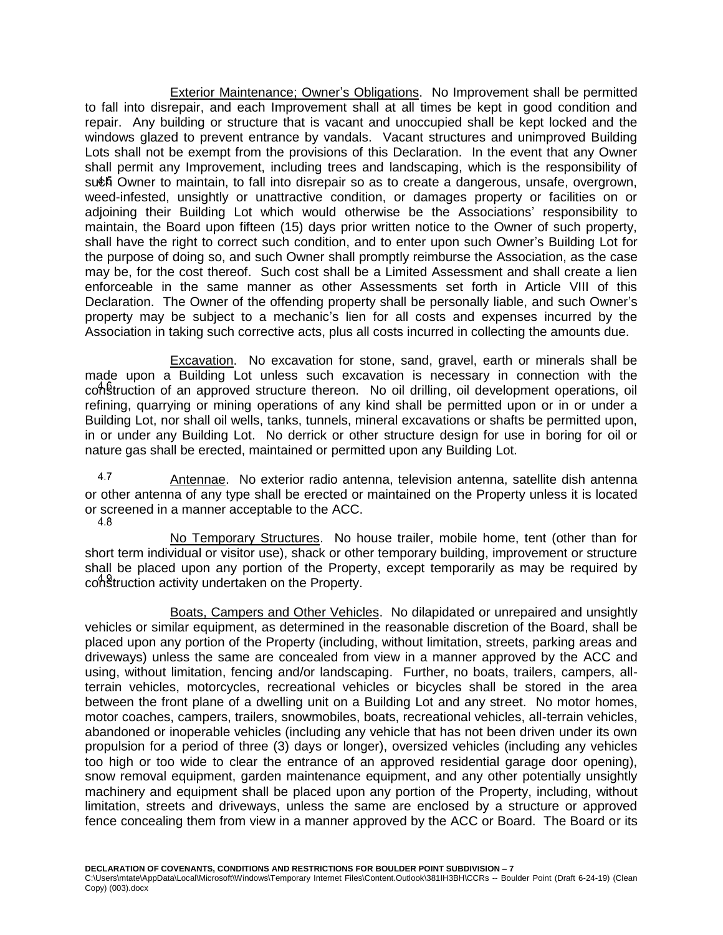<span id="page-12-0"></span>Exterior Maintenance; Owner's Obligations. No Improvement shall be permitted to fall into disrepair, and each Improvement shall at all times be kept in good condition and repair. Any building or structure that is vacant and unoccupied shall be kept locked and the windows glazed to prevent entrance by vandals. Vacant structures and unimproved Building Lots shall not be exempt from the provisions of this Declaration. In the event that any Owner shall permit any Improvement, including trees and landscaping, which is the responsibility of such Owner to maintain, to fall into disrepair so as to create a dangerous, unsafe, overgrown, weed-infested, unsightly or unattractive condition, or damages property or facilities on or adjoining their Building Lot which would otherwise be the Associations' responsibility to maintain, the Board upon fifteen (15) days prior written notice to the Owner of such property, shall have the right to correct such condition, and to enter upon such Owner's Building Lot for the purpose of doing so, and such Owner shall promptly reimburse the Association, as the case may be, for the cost thereof. Such cost shall be a Limited Assessment and shall create a lien enforceable in the same manner as other Assessments set forth in Article VIII of this Declaration. The Owner of the offending property shall be personally liable, and such Owner's property may be subject to a mechanic's lien for all costs and expenses incurred by the Association in taking such corrective acts, plus all costs incurred in collecting the amounts due.

<span id="page-12-1"></span>Excavation. No excavation for stone, sand, gravel, earth or minerals shall be made upon a Building Lot unless such excavation is necessary in connection with the construction of an approved structure thereon. No oil drilling, oil development operations, oil refining, quarrying or mining operations of any kind shall be permitted upon or in or under a Building Lot, nor shall oil wells, tanks, tunnels, mineral excavations or shafts be permitted upon, in or under any Building Lot. No derrick or other structure design for use in boring for oil or nature gas shall be erected, maintained or permitted upon any Building Lot.

<span id="page-12-2"></span>4.7 Antennae. No exterior radio antenna, television antenna, satellite dish antenna or other antenna of any type shall be erected or maintained on the Property unless it is located or screened in a manner acceptable to the ACC.<br>4.8

<span id="page-12-3"></span>No Temporary Structures. No house trailer, mobile home, tent (other than for short term individual or visitor use), shack or other temporary building, improvement or structure shall be placed upon any portion of the Property, except temporarily as may be required by construction activity undertaken on the Property.

<span id="page-12-4"></span>Boats, Campers and Other Vehicles. No dilapidated or unrepaired and unsightly vehicles or similar equipment, as determined in the reasonable discretion of the Board, shall be placed upon any portion of the Property (including, without limitation, streets, parking areas and driveways) unless the same are concealed from view in a manner approved by the ACC and using, without limitation, fencing and/or landscaping. Further, no boats, trailers, campers, allterrain vehicles, motorcycles, recreational vehicles or bicycles shall be stored in the area between the front plane of a dwelling unit on a Building Lot and any street. No motor homes, motor coaches, campers, trailers, snowmobiles, boats, recreational vehicles, all-terrain vehicles, abandoned or inoperable vehicles (including any vehicle that has not been driven under its own propulsion for a period of three (3) days or longer), oversized vehicles (including any vehicles too high or too wide to clear the entrance of an approved residential garage door opening), snow removal equipment, garden maintenance equipment, and any other potentially unsightly machinery and equipment shall be placed upon any portion of the Property, including, without limitation, streets and driveways, unless the same are enclosed by a structure or approved fence concealing them from view in a manner approved by the ACC or Board. The Board or its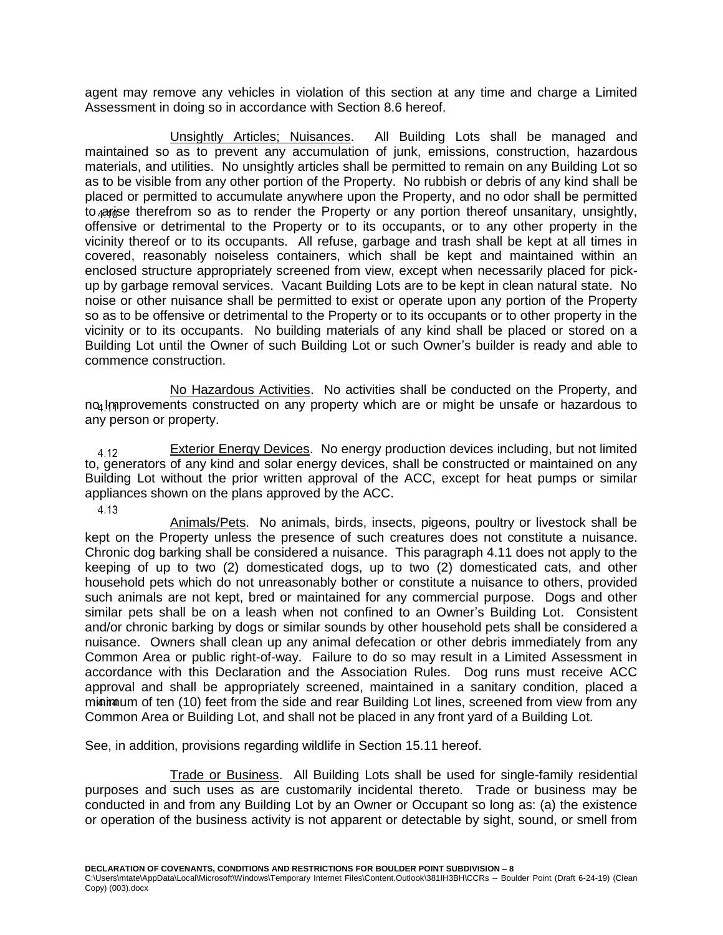agent may remove any vehicles in violation of this section at any time and charge a Limited Assessment in doing so in accordance with Section 8.6 hereof.

<span id="page-13-0"></span>Unsightly Articles; Nuisances. All Building Lots shall be managed and maintained so as to prevent any accumulation of junk, emissions, construction, hazardous materials, and utilities. No unsightly articles shall be permitted to remain on any Building Lot so as to be visible from any other portion of the Property. No rubbish or debris of any kind shall be placed or permitted to accumulate anywhere upon the Property, and no odor shall be permitted to *ariance* therefrom so as to render the Property or any portion thereof unsanitary, unsightly, offensive or detrimental to the Property or to its occupants, or to any other property in the vicinity thereof or to its occupants. All refuse, garbage and trash shall be kept at all times in covered, reasonably noiseless containers, which shall be kept and maintained within an enclosed structure appropriately screened from view, except when necessarily placed for pickup by garbage removal services. Vacant Building Lots are to be kept in clean natural state. No noise or other nuisance shall be permitted to exist or operate upon any portion of the Property so as to be offensive or detrimental to the Property or to its occupants or to other property in the vicinity or to its occupants. No building materials of any kind shall be placed or stored on a Building Lot until the Owner of such Building Lot or such Owner's builder is ready and able to commence construction.

<span id="page-13-1"></span>No Hazardous Activities. No activities shall be conducted on the Property, and no Improvements constructed on any property which are or might be unsafe or hazardous to any person or property.

<span id="page-13-2"></span>Exterior Energy Devices. No energy production devices including, but not limited 4.12 to, generators of any kind and solar energy devices, shall be constructed or maintained on any Building Lot without the prior written approval of the ACC, except for heat pumps or similar appliances shown on the plans approved by the ACC.

4.13

<span id="page-13-3"></span>Animals/Pets. No animals, birds, insects, pigeons, poultry or livestock shall be kept on the Property unless the presence of such creatures does not constitute a nuisance. Chronic dog barking shall be considered a nuisance. This paragraph 4.11 does not apply to the keeping of up to two (2) domesticated dogs, up to two (2) domesticated cats, and other household pets which do not unreasonably bother or constitute a nuisance to others, provided such animals are not kept, bred or maintained for any commercial purpose. Dogs and other similar pets shall be on a leash when not confined to an Owner's Building Lot. Consistent and/or chronic barking by dogs or similar sounds by other household pets shall be considered a nuisance. Owners shall clean up any animal defecation or other debris immediately from any Common Area or public right-of-way. Failure to do so may result in a Limited Assessment in accordance with this Declaration and the Association Rules. Dog runs must receive ACC approval and shall be appropriately screened, maintained in a sanitary condition, placed a minimum of ten (10) feet from the side and rear Building Lot lines, screened from view from any Common Area or Building Lot, and shall not be placed in any front yard of a Building Lot.

See, in addition, provisions regarding wildlife in Section 15.11 hereof.

<span id="page-13-4"></span>Trade or Business. All Building Lots shall be used for single-family residential purposes and such uses as are customarily incidental thereto. Trade or business may be conducted in and from any Building Lot by an Owner or Occupant so long as: (a) the existence or operation of the business activity is not apparent or detectable by sight, sound, or smell from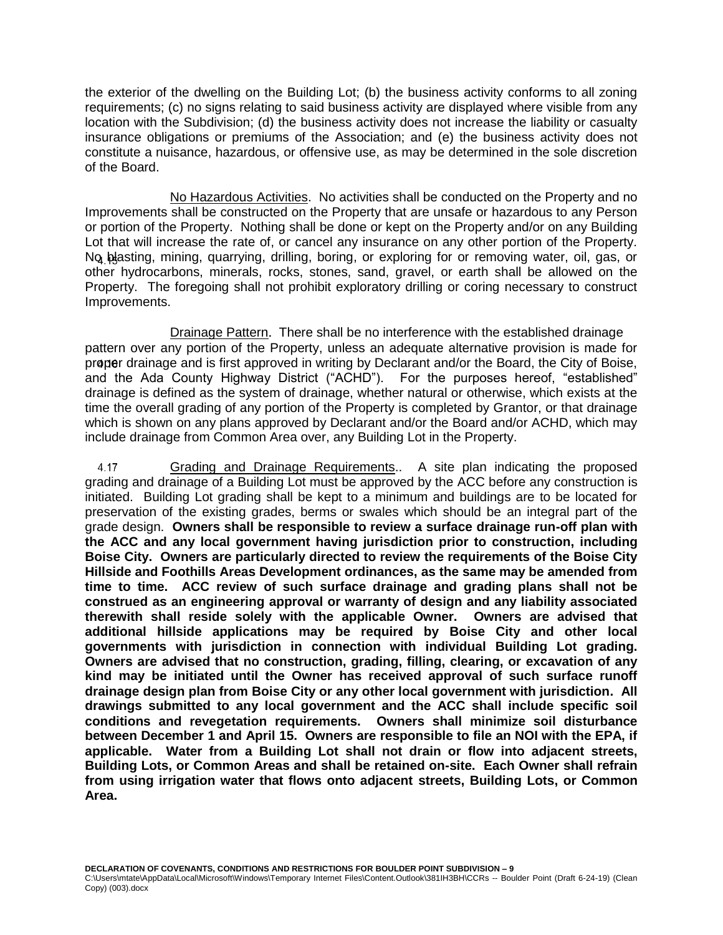the exterior of the dwelling on the Building Lot; (b) the business activity conforms to all zoning requirements; (c) no signs relating to said business activity are displayed where visible from any location with the Subdivision; (d) the business activity does not increase the liability or casualty insurance obligations or premiums of the Association; and (e) the business activity does not constitute a nuisance, hazardous, or offensive use, as may be determined in the sole discretion of the Board.

<span id="page-14-0"></span>No Hazardous Activities. No activities shall be conducted on the Property and no Improvements shall be constructed on the Property that are unsafe or hazardous to any Person or portion of the Property. Nothing shall be done or kept on the Property and/or on any Building Lot that will increase the rate of, or cancel any insurance on any other portion of the Property. No blasting, mining, quarrying, drilling, boring, or exploring for or removing water, oil, gas, or other hydrocarbons, minerals, rocks, stones, sand, gravel, or earth shall be allowed on the Property. The foregoing shall not prohibit exploratory drilling or coring necessary to construct Improvements.

<span id="page-14-1"></span>Drainage Pattern. There shall be no interference with the established drainage pattern over any portion of the Property, unless an adequate alternative provision is made for proper drainage and is first approved in writing by Declarant and/or the Board, the City of Boise, and the Ada County Highway District ("ACHD"). For the purposes hereof, "established" drainage is defined as the system of drainage, whether natural or otherwise, which exists at the time the overall grading of any portion of the Property is completed by Grantor, or that drainage which is shown on any plans approved by Declarant and/or the Board and/or ACHD, which may include drainage from Common Area over, any Building Lot in the Property.

<span id="page-14-2"></span>Grading and Drainage Requirements.. A site plan indicating the proposed 4.17 grading and drainage of a Building Lot must be approved by the ACC before any construction is initiated. Building Lot grading shall be kept to a minimum and buildings are to be located for preservation of the existing grades, berms or swales which should be an integral part of the grade design. **Owners shall be responsible to review a surface drainage run-off plan with the ACC and any local government having jurisdiction prior to construction, including Boise City. Owners are particularly directed to review the requirements of the Boise City Hillside and Foothills Areas Development ordinances, as the same may be amended from time to time. ACC review of such surface drainage and grading plans shall not be construed as an engineering approval or warranty of design and any liability associated therewith shall reside solely with the applicable Owner. Owners are advised that additional hillside applications may be required by Boise City and other local governments with jurisdiction in connection with individual Building Lot grading. Owners are advised that no construction, grading, filling, clearing, or excavation of any kind may be initiated until the Owner has received approval of such surface runoff drainage design plan from Boise City or any other local government with jurisdiction. All drawings submitted to any local government and the ACC shall include specific soil conditions and revegetation requirements. Owners shall minimize soil disturbance between December 1 and April 15. Owners are responsible to file an NOI with the EPA, if applicable. Water from a Building Lot shall not drain or flow into adjacent streets, Building Lots, or Common Areas and shall be retained on-site. Each Owner shall refrain from using irrigation water that flows onto adjacent streets, Building Lots, or Common Area.**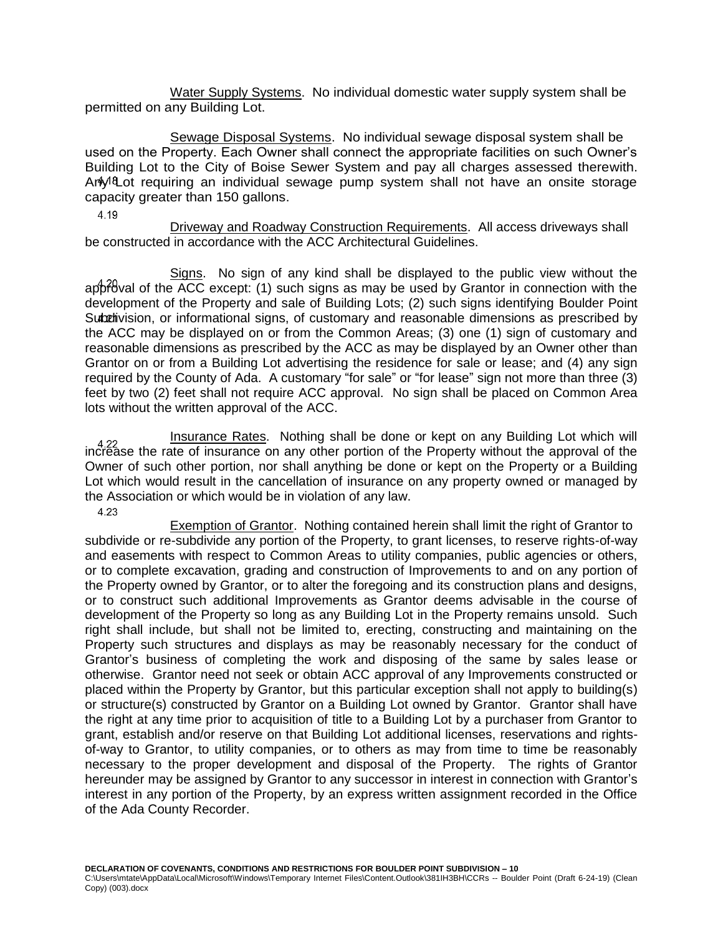<span id="page-15-0"></span>Water Supply Systems. No individual domestic water supply system shall be permitted on any Building Lot.

<span id="page-15-1"></span>Sewage Disposal Systems. No individual sewage disposal system shall be used on the Property. Each Owner shall connect the appropriate facilities on such Owner's Building Lot to the City of Boise Sewer System and pay all charges assessed therewith. Ari<sub>y</sub><sup>8</sup>Lot requiring an individual sewage pump system shall not have an onsite storage capacity greater than 150 gallons.

4.19

<span id="page-15-2"></span>Driveway and Roadway Construction Requirements. All access driveways shall be constructed in accordance with the ACC Architectural Guidelines.

<span id="page-15-3"></span>Signs. No sign of any kind shall be displayed to the public view without the  $a$ pproval of the ACC except: (1) such signs as may be used by Grantor in connection with the development of the Property and sale of Building Lots; (2) such signs identifying Boulder Point Subdivision, or informational signs, of customary and reasonable dimensions as prescribed by the ACC may be displayed on or from the Common Areas; (3) one (1) sign of customary and reasonable dimensions as prescribed by the ACC as may be displayed by an Owner other than Grantor on or from a Building Lot advertising the residence for sale or lease; and (4) any sign required by the County of Ada. A customary "for sale" or "for lease" sign not more than three (3) feet by two (2) feet shall not require ACC approval. No sign shall be placed on Common Area lots without the written approval of the ACC.

<span id="page-15-4"></span>Insurance Rates. Nothing shall be done or kept on any Building Lot which will increase the rate of insurance on any other portion of the Property without the approval of the Owner of such other portion, nor shall anything be done or kept on the Property or a Building Lot which would result in the cancellation of insurance on any property owned or managed by the Association or which would be in violation of any law.

4.23

<span id="page-15-5"></span>Exemption of Grantor. Nothing contained herein shall limit the right of Grantor to subdivide or re-subdivide any portion of the Property, to grant licenses, to reserve rights-of-way and easements with respect to Common Areas to utility companies, public agencies or others, or to complete excavation, grading and construction of Improvements to and on any portion of the Property owned by Grantor, or to alter the foregoing and its construction plans and designs, or to construct such additional Improvements as Grantor deems advisable in the course of development of the Property so long as any Building Lot in the Property remains unsold. Such right shall include, but shall not be limited to, erecting, constructing and maintaining on the Property such structures and displays as may be reasonably necessary for the conduct of Grantor's business of completing the work and disposing of the same by sales lease or otherwise. Grantor need not seek or obtain ACC approval of any Improvements constructed or placed within the Property by Grantor, but this particular exception shall not apply to building(s) or structure(s) constructed by Grantor on a Building Lot owned by Grantor. Grantor shall have the right at any time prior to acquisition of title to a Building Lot by a purchaser from Grantor to grant, establish and/or reserve on that Building Lot additional licenses, reservations and rightsof-way to Grantor, to utility companies, or to others as may from time to time be reasonably necessary to the proper development and disposal of the Property. The rights of Grantor hereunder may be assigned by Grantor to any successor in interest in connection with Grantor's interest in any portion of the Property, by an express written assignment recorded in the Office of the Ada County Recorder.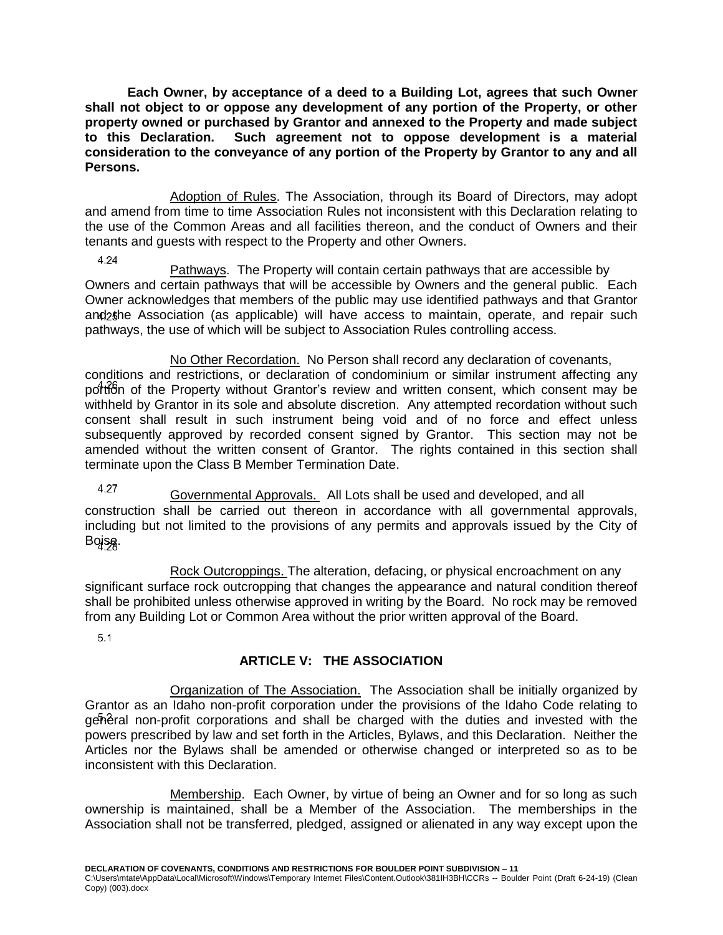**Each Owner, by acceptance of a deed to a Building Lot, agrees that such Owner shall not object to or oppose any development of any portion of the Property, or other property owned or purchased by Grantor and annexed to the Property and made subject to this Declaration. Such agreement not to oppose development is a material consideration to the conveyance of any portion of the Property by Grantor to any and all Persons.**

<span id="page-16-0"></span>Adoption of Rules. The Association, through its Board of Directors, may adopt and amend from time to time Association Rules not inconsistent with this Declaration relating to the use of the Common Areas and all facilities thereon, and the conduct of Owners and their tenants and guests with respect to the Property and other Owners.

4.24

<span id="page-16-1"></span>Pathways. The Property will contain certain pathways that are accessible by Owners and certain pathways that will be accessible by Owners and the general public. Each Owner acknowledges that members of the public may use identified pathways and that Grantor and the Association (as applicable) will have access to maintain, operate, and repair such pathways, the use of which will be subject to Association Rules controlling access.

<span id="page-16-2"></span>No Other Recordation. No Person shall record any declaration of covenants, conditions and restrictions, or declaration of condominium or similar instrument affecting any portion of the Property without Grantor's review and written consent, which consent may be withheld by Grantor in its sole and absolute discretion. Any attempted recordation without such consent shall result in such instrument being void and of no force and effect unless subsequently approved by recorded consent signed by Grantor. This section may not be amended without the written consent of Grantor. The rights contained in this section shall terminate upon the Class B Member Termination Date.

<span id="page-16-3"></span>4.27 Governmental Approvals. All Lots shall be used and developed, and all construction shall be carried out thereon in accordance with all governmental approvals, including but not limited to the provisions of any permits and approvals issued by the City of Boise.

<span id="page-16-4"></span>Rock Outcroppings. The alteration, defacing, or physical encroachment on any significant surface rock outcropping that changes the appearance and natural condition thereof shall be prohibited unless otherwise approved in writing by the Board. No rock may be removed from any Building Lot or Common Area without the prior written approval of the Board.

 $5.1$ 

# <span id="page-16-5"></span>**ARTICLE V: THE ASSOCIATION**

<span id="page-16-6"></span>Organization of The Association. The Association shall be initially organized by Grantor as an Idaho non-profit corporation under the provisions of the Idaho Code relating to general non-profit corporations and shall be charged with the duties and invested with the powers prescribed by law and set forth in the Articles, Bylaws, and this Declaration. Neither the Articles nor the Bylaws shall be amended or otherwise changed or interpreted so as to be inconsistent with this Declaration.

<span id="page-16-7"></span>Membership. Each Owner, by virtue of being an Owner and for so long as such ownership is maintained, shall be a Member of the Association. The memberships in the Association shall not be transferred, pledged, assigned or alienated in any way except upon the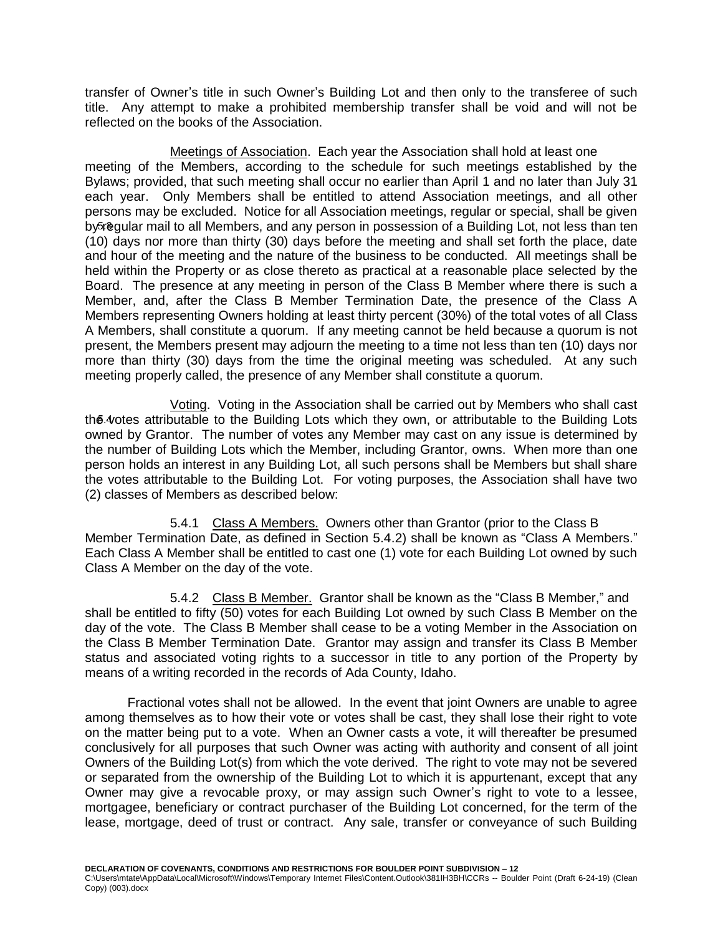transfer of Owner's title in such Owner's Building Lot and then only to the transferee of such title. Any attempt to make a prohibited membership transfer shall be void and will not be reflected on the books of the Association.

<span id="page-17-0"></span>Meetings of Association. Each year the Association shall hold at least one meeting of the Members, according to the schedule for such meetings established by the Bylaws; provided, that such meeting shall occur no earlier than April 1 and no later than July 31 each year. Only Members shall be entitled to attend Association meetings, and all other persons may be excluded. Notice for all Association meetings, regular or special, shall be given by regular mail to all Members, and any person in possession of a Building Lot, not less than ten (10) days nor more than thirty (30) days before the meeting and shall set forth the place, date and hour of the meeting and the nature of the business to be conducted. All meetings shall be held within the Property or as close thereto as practical at a reasonable place selected by the Board. The presence at any meeting in person of the Class B Member where there is such a Member, and, after the Class B Member Termination Date, the presence of the Class A Members representing Owners holding at least thirty percent (30%) of the total votes of all Class A Members, shall constitute a quorum. If any meeting cannot be held because a quorum is not present, the Members present may adjourn the meeting to a time not less than ten (10) days nor more than thirty (30) days from the time the original meeting was scheduled. At any such meeting properly called, the presence of any Member shall constitute a quorum.

<span id="page-17-1"></span>Voting. Voting in the Association shall be carried out by Members who shall cast the 4 otes attributable to the Building Lots which they own, or attributable to the Building Lots owned by Grantor. The number of votes any Member may cast on any issue is determined by the number of Building Lots which the Member, including Grantor, owns. When more than one person holds an interest in any Building Lot, all such persons shall be Members but shall share the votes attributable to the Building Lot. For voting purposes, the Association shall have two (2) classes of Members as described below:

<span id="page-17-2"></span>5.4.1 Class A Members. Owners other than Grantor (prior to the Class B Member Termination Date, as defined in Section 5.4.2) shall be known as "Class A Members." Each Class A Member shall be entitled to cast one (1) vote for each Building Lot owned by such Class A Member on the day of the vote.

<span id="page-17-3"></span>5.4.2 Class B Member. Grantor shall be known as the "Class B Member," and shall be entitled to fifty (50) votes for each Building Lot owned by such Class B Member on the day of the vote. The Class B Member shall cease to be a voting Member in the Association on the Class B Member Termination Date. Grantor may assign and transfer its Class B Member status and associated voting rights to a successor in title to any portion of the Property by means of a writing recorded in the records of Ada County, Idaho.

Fractional votes shall not be allowed. In the event that joint Owners are unable to agree among themselves as to how their vote or votes shall be cast, they shall lose their right to vote on the matter being put to a vote. When an Owner casts a vote, it will thereafter be presumed conclusively for all purposes that such Owner was acting with authority and consent of all joint Owners of the Building Lot(s) from which the vote derived. The right to vote may not be severed or separated from the ownership of the Building Lot to which it is appurtenant, except that any Owner may give a revocable proxy, or may assign such Owner's right to vote to a lessee, mortgagee, beneficiary or contract purchaser of the Building Lot concerned, for the term of the lease, mortgage, deed of trust or contract. Any sale, transfer or conveyance of such Building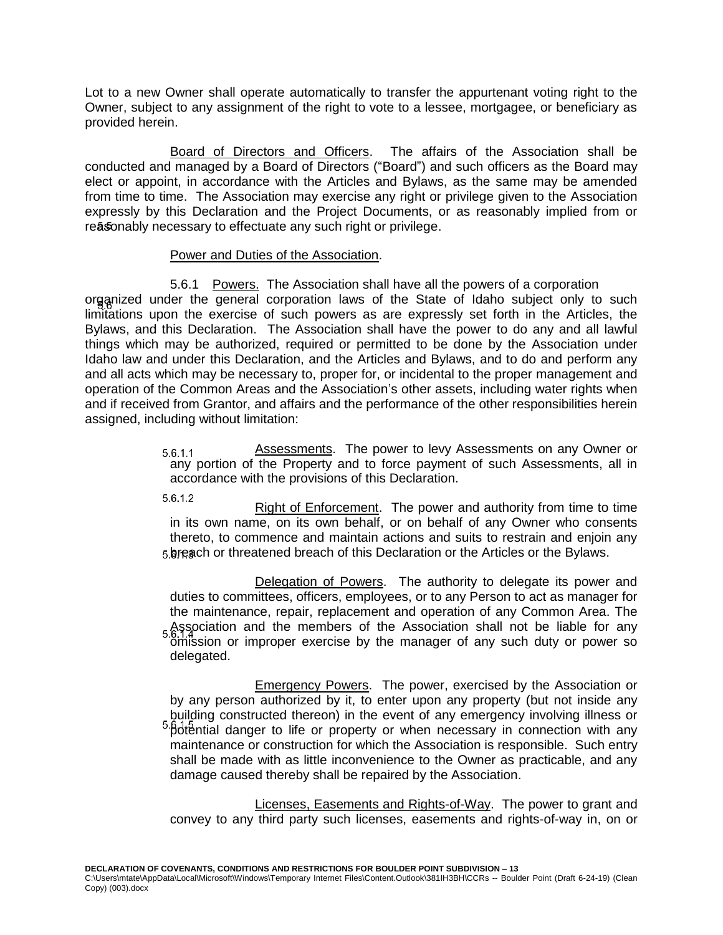Lot to a new Owner shall operate automatically to transfer the appurtenant voting right to the Owner, subject to any assignment of the right to vote to a lessee, mortgagee, or beneficiary as provided herein.

<span id="page-18-0"></span>Board of Directors and Officers. The affairs of the Association shall be conducted and managed by a Board of Directors ("Board") and such officers as the Board may elect or appoint, in accordance with the Articles and Bylaws, as the same may be amended from time to time. The Association may exercise any right or privilege given to the Association expressly by this Declaration and the Project Documents, or as reasonably implied from or reasonably necessary to effectuate any such right or privilege.

### Power and Duties of the Association.

<span id="page-18-2"></span><span id="page-18-1"></span>5.6.1 Powers. The Association shall have all the powers of a corporation organized under the general corporation laws of the State of Idaho subject only to such limitations upon the exercise of such powers as are expressly set forth in the Articles, the Bylaws, and this Declaration. The Association shall have the power to do any and all lawful things which may be authorized, required or permitted to be done by the Association under Idaho law and under this Declaration, and the Articles and Bylaws, and to do and perform any and all acts which may be necessary to, proper for, or incidental to the proper management and operation of the Common Areas and the Association's other assets, including water rights when and if received from Grantor, and affairs and the performance of the other responsibilities herein assigned, including without limitation:

> Assessments. The power to levy Assessments on any Owner or  $5.6.1.1$ any portion of the Property and to force payment of such Assessments, all in accordance with the provisions of this Declaration.

5.6.1.2

Right of Enforcement. The power and authority from time to time in its own name, on its own behalf, or on behalf of any Owner who consents thereto, to commence and maintain actions and suits to restrain and enjoin any breach or threatened breach of this Declaration or the Articles or the Bylaws.

Delegation of Powers. The authority to delegate its power and duties to committees, officers, employees, or to any Person to act as manager for the maintenance, repair, replacement and operation of any Common Area. The Association and the members of the Association shall not be liable for any omission or improper exercise by the manager of any such duty or power so delegated.

Emergency Powers. The power, exercised by the Association or by any person authorized by it, to enter upon any property (but not inside any building constructed thereon) in the event of any emergency involving illness or 5. potential danger to life or property or when necessary in connection with any maintenance or construction for which the Association is responsible. Such entry shall be made with as little inconvenience to the Owner as practicable, and any damage caused thereby shall be repaired by the Association.

Licenses, Easements and Rights-of-Way. The power to grant and convey to any third party such licenses, easements and rights-of-way in, on or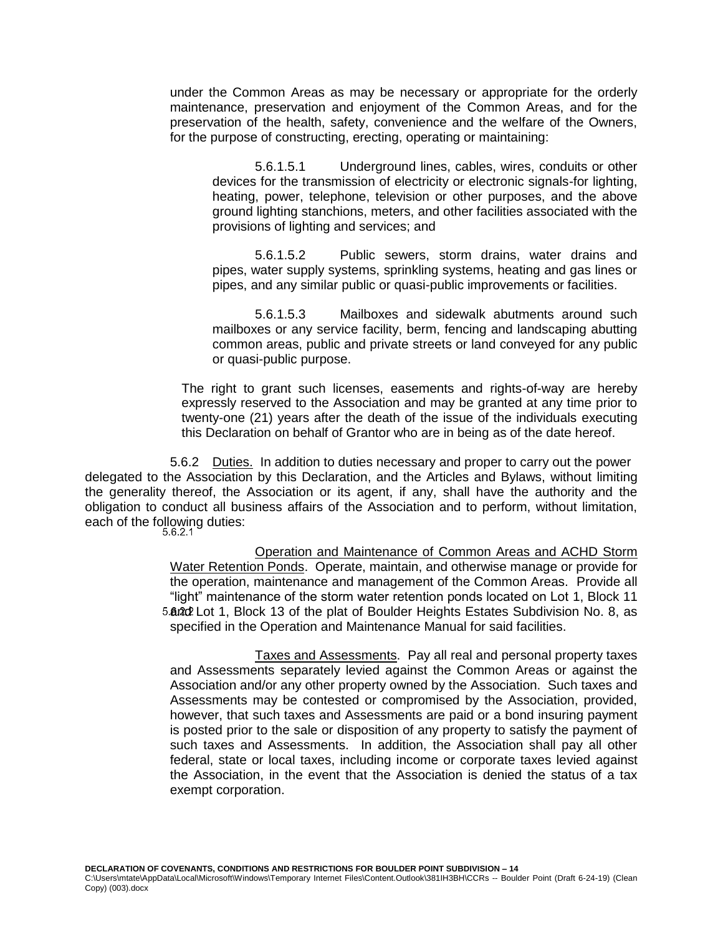under the Common Areas as may be necessary or appropriate for the orderly maintenance, preservation and enjoyment of the Common Areas, and for the preservation of the health, safety, convenience and the welfare of the Owners, for the purpose of constructing, erecting, operating or maintaining:

5.6.1.5.1 Underground lines, cables, wires, conduits or other devices for the transmission of electricity or electronic signals-for lighting, heating, power, telephone, television or other purposes, and the above ground lighting stanchions, meters, and other facilities associated with the provisions of lighting and services; and

5.6.1.5.2 Public sewers, storm drains, water drains and pipes, water supply systems, sprinkling systems, heating and gas lines or pipes, and any similar public or quasi-public improvements or facilities.

5.6.1.5.3 Mailboxes and sidewalk abutments around such mailboxes or any service facility, berm, fencing and landscaping abutting common areas, public and private streets or land conveyed for any public or quasi-public purpose.

The right to grant such licenses, easements and rights-of-way are hereby expressly reserved to the Association and may be granted at any time prior to twenty-one (21) years after the death of the issue of the individuals executing this Declaration on behalf of Grantor who are in being as of the date hereof.

<span id="page-19-0"></span>5.6.2 Duties. In addition to duties necessary and proper to carry out the power delegated to the Association by this Declaration, and the Articles and Bylaws, without limiting the generality thereof, the Association or its agent, if any, shall have the authority and the obligation to conduct all business affairs of the Association and to perform, without limitation, each of the following duties:<br>5.6.2.1

> Operation and Maintenance of Common Areas and ACHD Storm Water Retention Ponds. Operate, maintain, and otherwise manage or provide for the operation, maintenance and management of the Common Areas. Provide all "light" maintenance of the storm water retention ponds located on Lot 1, Block 11 5. and Lot 1, Block 13 of the plat of Boulder Heights Estates Subdivision No. 8, as specified in the Operation and Maintenance Manual for said facilities.

Taxes and Assessments. Pay all real and personal property taxes and Assessments separately levied against the Common Areas or against the Association and/or any other property owned by the Association. Such taxes and Assessments may be contested or compromised by the Association, provided, however, that such taxes and Assessments are paid or a bond insuring payment is posted prior to the sale or disposition of any property to satisfy the payment of such taxes and Assessments. In addition, the Association shall pay all other federal, state or local taxes, including income or corporate taxes levied against the Association, in the event that the Association is denied the status of a tax exempt corporation.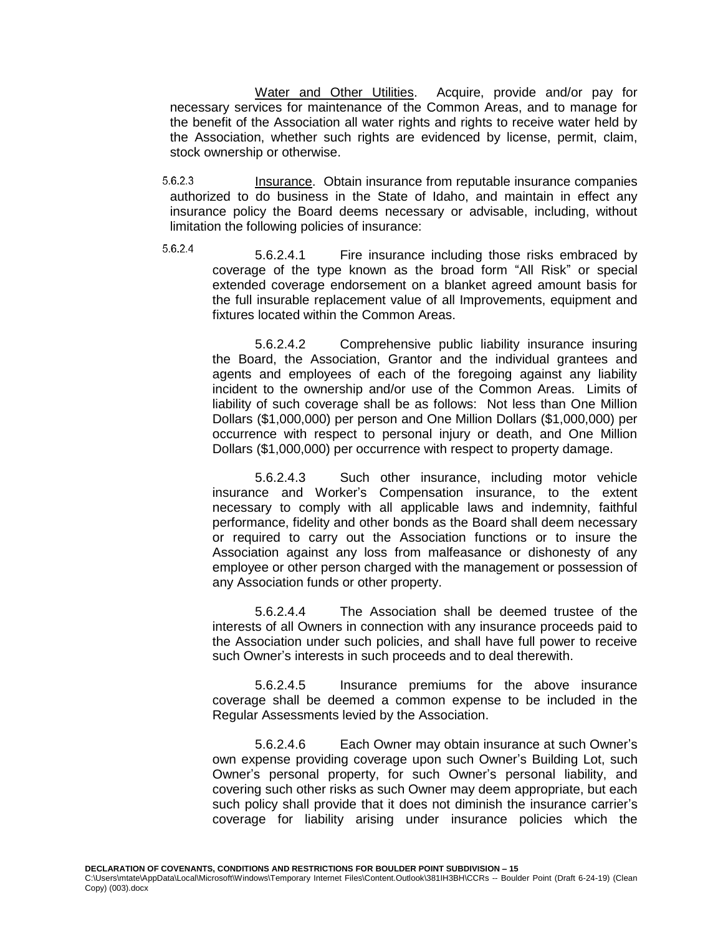Water and Other Utilities. Acquire, provide and/or pay for necessary services for maintenance of the Common Areas, and to manage for the benefit of the Association all water rights and rights to receive water held by the Association, whether such rights are evidenced by license, permit, claim, stock ownership or otherwise.

5.6.2.3 Insurance. Obtain insurance from reputable insurance companies authorized to do business in the State of Idaho, and maintain in effect any insurance policy the Board deems necessary or advisable, including, without limitation the following policies of insurance:

5.6.2.4

5.6.2.4.1 Fire insurance including those risks embraced by coverage of the type known as the broad form "All Risk" or special extended coverage endorsement on a blanket agreed amount basis for the full insurable replacement value of all Improvements, equipment and fixtures located within the Common Areas.

5.6.2.4.2 Comprehensive public liability insurance insuring the Board, the Association, Grantor and the individual grantees and agents and employees of each of the foregoing against any liability incident to the ownership and/or use of the Common Areas. Limits of liability of such coverage shall be as follows: Not less than One Million Dollars (\$1,000,000) per person and One Million Dollars (\$1,000,000) per occurrence with respect to personal injury or death, and One Million Dollars (\$1,000,000) per occurrence with respect to property damage.

5.6.2.4.3 Such other insurance, including motor vehicle insurance and Worker's Compensation insurance, to the extent necessary to comply with all applicable laws and indemnity, faithful performance, fidelity and other bonds as the Board shall deem necessary or required to carry out the Association functions or to insure the Association against any loss from malfeasance or dishonesty of any employee or other person charged with the management or possession of any Association funds or other property.

5.6.2.4.4 The Association shall be deemed trustee of the interests of all Owners in connection with any insurance proceeds paid to the Association under such policies, and shall have full power to receive such Owner's interests in such proceeds and to deal therewith.

5.6.2.4.5 Insurance premiums for the above insurance coverage shall be deemed a common expense to be included in the Regular Assessments levied by the Association.

5.6.2.4.6 Each Owner may obtain insurance at such Owner's own expense providing coverage upon such Owner's Building Lot, such Owner's personal property, for such Owner's personal liability, and covering such other risks as such Owner may deem appropriate, but each such policy shall provide that it does not diminish the insurance carrier's coverage for liability arising under insurance policies which the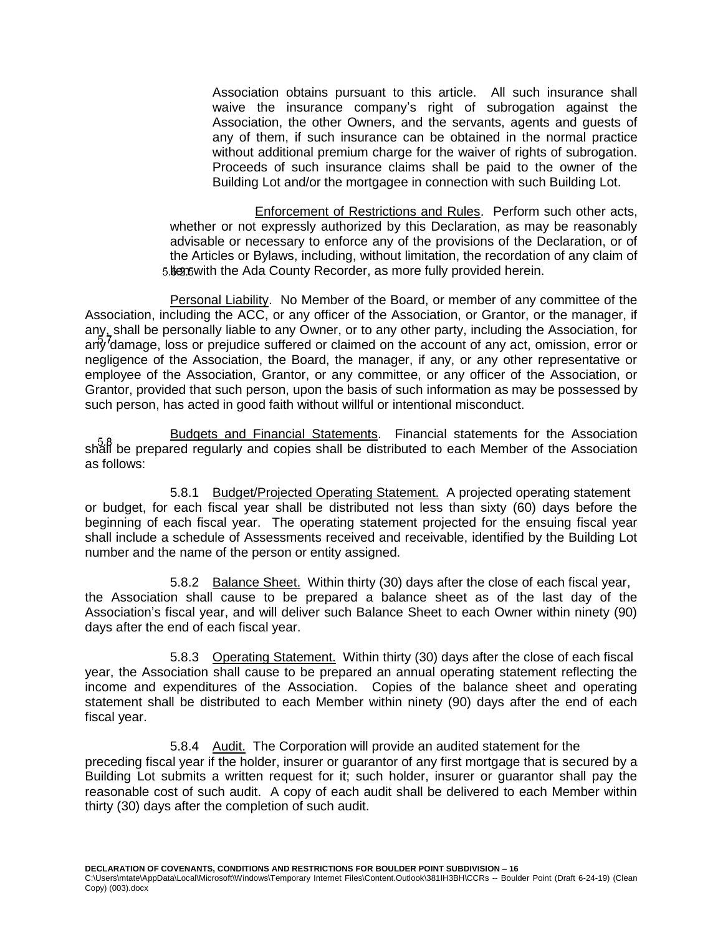Association obtains pursuant to this article. All such insurance shall waive the insurance company's right of subrogation against the Association, the other Owners, and the servants, agents and guests of any of them, if such insurance can be obtained in the normal practice without additional premium charge for the waiver of rights of subrogation. Proceeds of such insurance claims shall be paid to the owner of the Building Lot and/or the mortgagee in connection with such Building Lot.

Enforcement of Restrictions and Rules. Perform such other acts, whether or not expressly authorized by this Declaration, as may be reasonably advisable or necessary to enforce any of the provisions of the Declaration, or of the Articles or Bylaws, including, without limitation, the recordation of any claim of 5. Ben but with the Ada County Recorder, as more fully provided herein.

<span id="page-21-0"></span>Personal Liability. No Member of the Board, or member of any committee of the Association, including the ACC, or any officer of the Association, or Grantor, or the manager, if any, shall be personally liable to any Owner, or to any other party, including the Association, for any damage, loss or prejudice suffered or claimed on the account of any act, omission, error or negligence of the Association, the Board, the manager, if any, or any other representative or employee of the Association, Grantor, or any committee, or any officer of the Association, or Grantor, provided that such person, upon the basis of such information as may be possessed by such person, has acted in good faith without willful or intentional misconduct.

<span id="page-21-1"></span>Budgets and Financial Statements. Financial statements for the Association shall be prepared regularly and copies shall be distributed to each Member of the Association as follows:

<span id="page-21-2"></span>5.8.1 Budget/Projected Operating Statement. A projected operating statement or budget, for each fiscal year shall be distributed not less than sixty (60) days before the beginning of each fiscal year. The operating statement projected for the ensuing fiscal year shall include a schedule of Assessments received and receivable, identified by the Building Lot number and the name of the person or entity assigned.

<span id="page-21-3"></span>5.8.2 Balance Sheet. Within thirty (30) days after the close of each fiscal year, the Association shall cause to be prepared a balance sheet as of the last day of the Association's fiscal year, and will deliver such Balance Sheet to each Owner within ninety (90) days after the end of each fiscal year.

<span id="page-21-4"></span>5.8.3 Operating Statement. Within thirty (30) days after the close of each fiscal year, the Association shall cause to be prepared an annual operating statement reflecting the income and expenditures of the Association. Copies of the balance sheet and operating statement shall be distributed to each Member within ninety (90) days after the end of each fiscal year.

<span id="page-21-5"></span>5.8.4 Audit. The Corporation will provide an audited statement for the preceding fiscal year if the holder, insurer or guarantor of any first mortgage that is secured by a Building Lot submits a written request for it; such holder, insurer or guarantor shall pay the reasonable cost of such audit. A copy of each audit shall be delivered to each Member within thirty (30) days after the completion of such audit.

**DECLARATION OF COVENANTS, CONDITIONS AND RESTRICTIONS FOR BOULDER POINT SUBDIVISION – 16**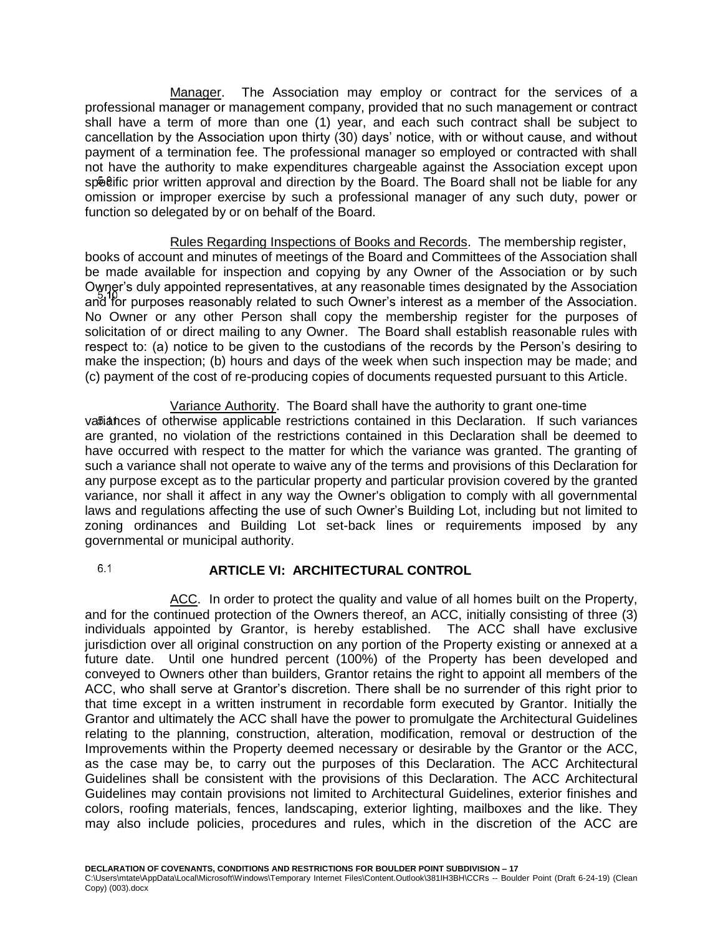<span id="page-22-0"></span>Manager. The Association may employ or contract for the services of a professional manager or management company, provided that no such management or contract shall have a term of more than one (1) year, and each such contract shall be subject to cancellation by the Association upon thirty (30) days' notice, with or without cause, and without payment of a termination fee. The professional manager so employed or contracted with shall not have the authority to make expenditures chargeable against the Association except upon specific prior written approval and direction by the Board. The Board shall not be liable for any omission or improper exercise by such a professional manager of any such duty, power or function so delegated by or on behalf of the Board.

<span id="page-22-1"></span>Rules Regarding Inspections of Books and Records. The membership register, books of account and minutes of meetings of the Board and Committees of the Association shall be made available for inspection and copying by any Owner of the Association or by such Owner's duly appointed representatives, at any reasonable times designated by the Association and for purposes reasonably related to such Owner's interest as a member of the Association. No Owner or any other Person shall copy the membership register for the purposes of solicitation of or direct mailing to any Owner. The Board shall establish reasonable rules with respect to: (a) notice to be given to the custodians of the records by the Person's desiring to make the inspection; (b) hours and days of the week when such inspection may be made; and (c) payment of the cost of re-producing copies of documents requested pursuant to this Article.

<span id="page-22-2"></span>Variance Authority. The Board shall have the authority to grant one-time variances of otherwise applicable restrictions contained in this Declaration. If such variances are granted, no violation of the restrictions contained in this Declaration shall be deemed to have occurred with respect to the matter for which the variance was granted. The granting of such a variance shall not operate to waive any of the terms and provisions of this Declaration for any purpose except as to the particular property and particular provision covered by the granted variance, nor shall it affect in any way the Owner's obligation to comply with all governmental laws and regulations affecting the use of such Owner's Building Lot, including but not limited to zoning ordinances and Building Lot set-back lines or requirements imposed by any governmental or municipal authority.

<span id="page-22-3"></span> $6.1$ **ARTICLE VI: ARCHITECTURAL CONTROL**

<span id="page-22-4"></span>ACC. In order to protect the quality and value of all homes built on the Property, and for the continued protection of the Owners thereof, an ACC, initially consisting of three (3) individuals appointed by Grantor, is hereby established. The ACC shall have exclusive jurisdiction over all original construction on any portion of the Property existing or annexed at a future date. Until one hundred percent (100%) of the Property has been developed and conveyed to Owners other than builders, Grantor retains the right to appoint all members of the ACC, who shall serve at Grantor's discretion. There shall be no surrender of this right prior to that time except in a written instrument in recordable form executed by Grantor. Initially the Grantor and ultimately the ACC shall have the power to promulgate the Architectural Guidelines relating to the planning, construction, alteration, modification, removal or destruction of the Improvements within the Property deemed necessary or desirable by the Grantor or the ACC, as the case may be, to carry out the purposes of this Declaration. The ACC Architectural Guidelines shall be consistent with the provisions of this Declaration. The ACC Architectural Guidelines may contain provisions not limited to Architectural Guidelines, exterior finishes and colors, roofing materials, fences, landscaping, exterior lighting, mailboxes and the like. They may also include policies, procedures and rules, which in the discretion of the ACC are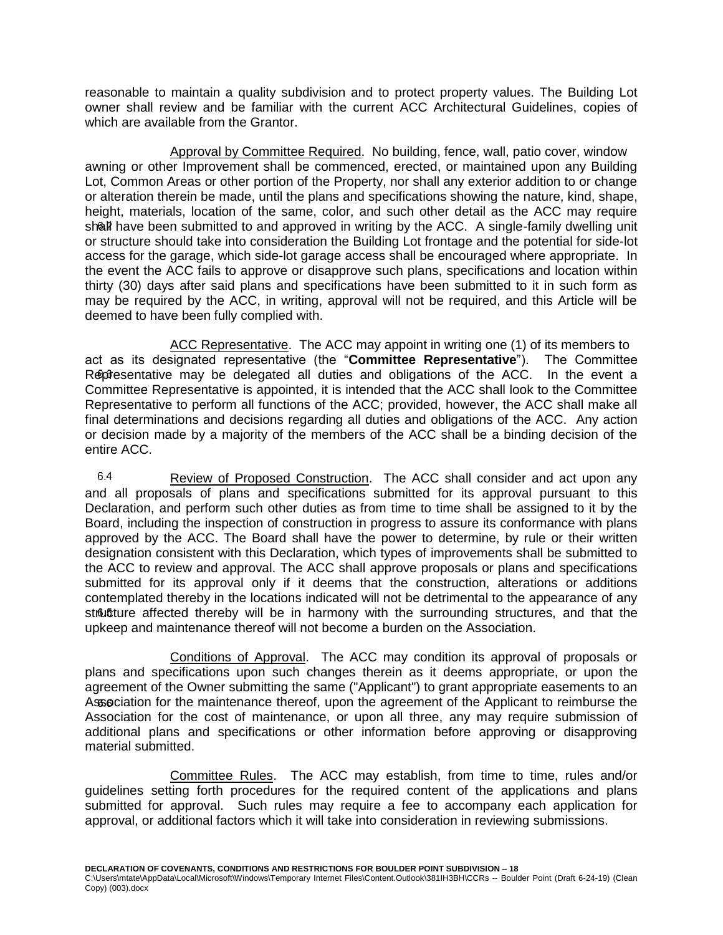reasonable to maintain a quality subdivision and to protect property values. The Building Lot owner shall review and be familiar with the current ACC Architectural Guidelines, copies of which are available from the Grantor.

<span id="page-23-0"></span>Approval by Committee Required. No building, fence, wall, patio cover, window awning or other Improvement shall be commenced, erected, or maintained upon any Building Lot, Common Areas or other portion of the Property, nor shall any exterior addition to or change or alteration therein be made, until the plans and specifications showing the nature, kind, shape, height, materials, location of the same, color, and such other detail as the ACC may require shall have been submitted to and approved in writing by the ACC. A single-family dwelling unit or structure should take into consideration the Building Lot frontage and the potential for side-lot access for the garage, which side-lot garage access shall be encouraged where appropriate. In the event the ACC fails to approve or disapprove such plans, specifications and location within thirty (30) days after said plans and specifications have been submitted to it in such form as may be required by the ACC, in writing, approval will not be required, and this Article will be deemed to have been fully complied with.

<span id="page-23-1"></span>ACC Representative. The ACC may appoint in writing one (1) of its members to act as its designated representative (the "**Committee Representative**"). The Committee Representative may be delegated all duties and obligations of the ACC. In the event a Committee Representative is appointed, it is intended that the ACC shall look to the Committee Representative to perform all functions of the ACC; provided, however, the ACC shall make all final determinations and decisions regarding all duties and obligations of the ACC. Any action or decision made by a majority of the members of the ACC shall be a binding decision of the entire ACC.

<span id="page-23-2"></span>6.4 Review of Proposed Construction. The ACC shall consider and act upon any and all proposals of plans and specifications submitted for its approval pursuant to this Declaration, and perform such other duties as from time to time shall be assigned to it by the Board, including the inspection of construction in progress to assure its conformance with plans approved by the ACC. The Board shall have the power to determine, by rule or their written designation consistent with this Declaration, which types of improvements shall be submitted to the ACC to review and approval. The ACC shall approve proposals or plans and specifications submitted for its approval only if it deems that the construction, alterations or additions contemplated thereby in the locations indicated will not be detrimental to the appearance of any structure affected thereby will be in harmony with the surrounding structures, and that the upkeep and maintenance thereof will not become a burden on the Association.

<span id="page-23-3"></span>Conditions of Approval. The ACC may condition its approval of proposals or plans and specifications upon such changes therein as it deems appropriate, or upon the agreement of the Owner submitting the same ("Applicant") to grant appropriate easements to an Association for the maintenance thereof, upon the agreement of the Applicant to reimburse the Association for the cost of maintenance, or upon all three, any may require submission of additional plans and specifications or other information before approving or disapproving material submitted.

<span id="page-23-4"></span>Committee Rules. The ACC may establish, from time to time, rules and/or guidelines setting forth procedures for the required content of the applications and plans submitted for approval. Such rules may require a fee to accompany each application for approval, or additional factors which it will take into consideration in reviewing submissions.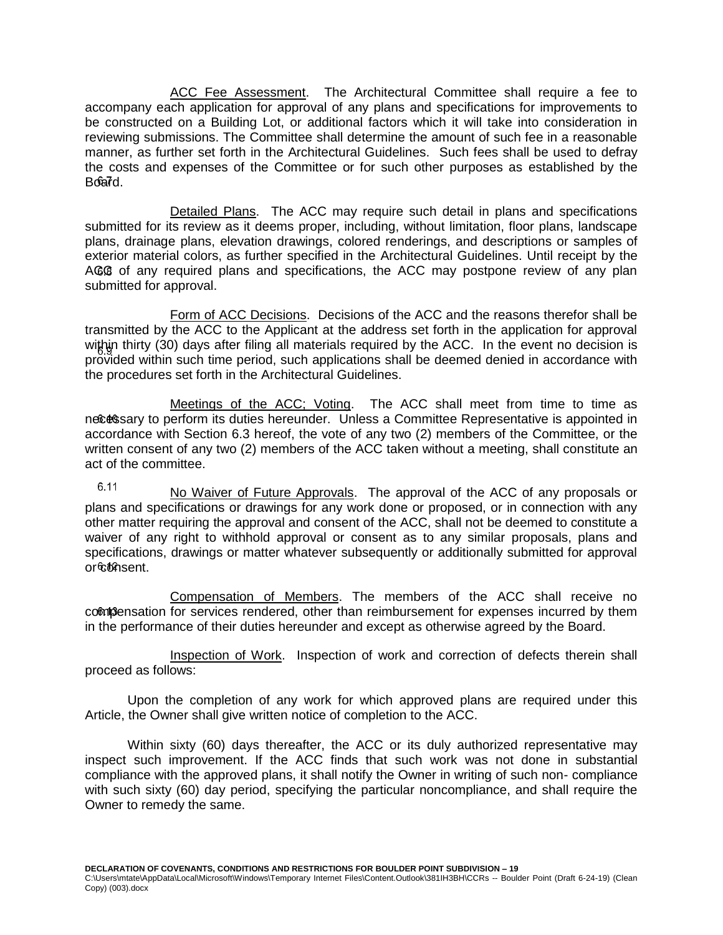<span id="page-24-0"></span>ACC Fee Assessment. The Architectural Committee shall require a fee to accompany each application for approval of any plans and specifications for improvements to be constructed on a Building Lot, or additional factors which it will take into consideration in reviewing submissions. The Committee shall determine the amount of such fee in a reasonable manner, as further set forth in the Architectural Guidelines. Such fees shall be used to defray the costs and expenses of the Committee or for such other purposes as established by the Board.

<span id="page-24-1"></span>Detailed Plans. The ACC may require such detail in plans and specifications submitted for its review as it deems proper, including, without limitation, floor plans, landscape plans, drainage plans, elevation drawings, colored renderings, and descriptions or samples of exterior material colors, as further specified in the Architectural Guidelines. Until receipt by the ACC of any required plans and specifications, the ACC may postpone review of any plan submitted for approval.

<span id="page-24-2"></span>Form of ACC Decisions. Decisions of the ACC and the reasons therefor shall be transmitted by the ACC to the Applicant at the address set forth in the application for approval within thirty (30) days after filing all materials required by the ACC. In the event no decision is provided within such time period, such applications shall be deemed denied in accordance with the procedures set forth in the Architectural Guidelines.

<span id="page-24-3"></span>Meetings of the ACC; Voting. The ACC shall meet from time to time as necessary to perform its duties hereunder. Unless a Committee Representative is appointed in accordance with Section 6.3 hereof, the vote of any two (2) members of the Committee, or the written consent of any two (2) members of the ACC taken without a meeting, shall constitute an act of the committee.

<span id="page-24-4"></span>6.11 No Waiver of Future Approvals. The approval of the ACC of any proposals or plans and specifications or drawings for any work done or proposed, or in connection with any other matter requiring the approval and consent of the ACC, shall not be deemed to constitute a waiver of any right to withhold approval or consent as to any similar proposals, plans and specifications, drawings or matter whatever subsequently or additionally submitted for approval or<sup>6</sup>consent.

<span id="page-24-5"></span>Compensation of Members. The members of the ACC shall receive no compensation for services rendered, other than reimbursement for expenses incurred by them in the performance of their duties hereunder and except as otherwise agreed by the Board.

<span id="page-24-6"></span>Inspection of Work. Inspection of work and correction of defects therein shall proceed as follows:

Upon the completion of any work for which approved plans are required under this Article, the Owner shall give written notice of completion to the ACC.

Within sixty (60) days thereafter, the ACC or its duly authorized representative may inspect such improvement. If the ACC finds that such work was not done in substantial compliance with the approved plans, it shall notify the Owner in writing of such non- compliance with such sixty (60) day period, specifying the particular noncompliance, and shall require the Owner to remedy the same.

**DECLARATION OF COVENANTS, CONDITIONS AND RESTRICTIONS FOR BOULDER POINT SUBDIVISION – 19**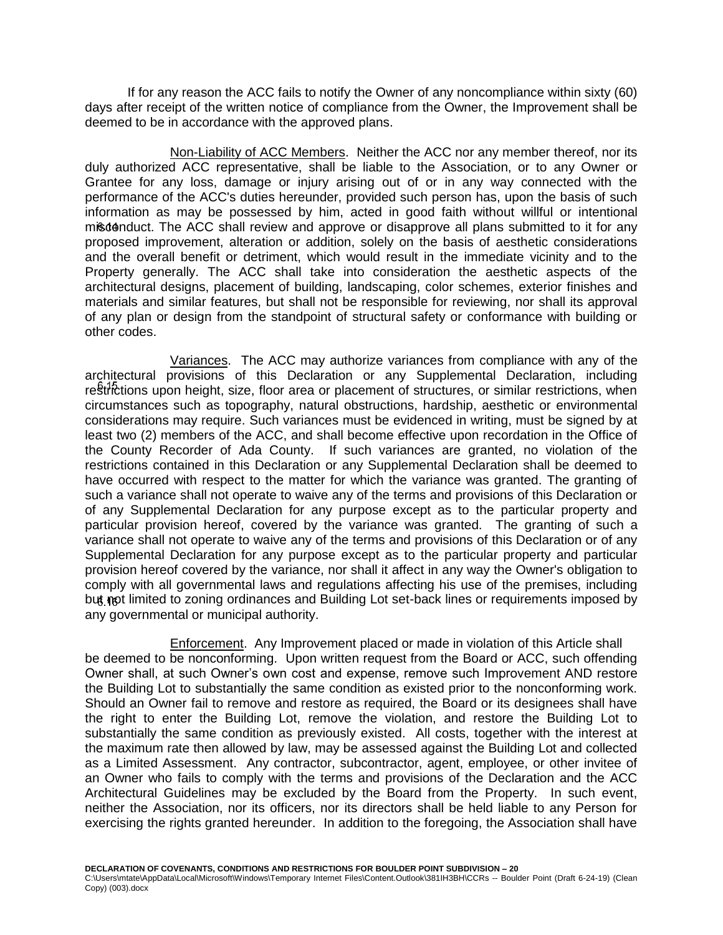If for any reason the ACC fails to notify the Owner of any noncompliance within sixty (60) days after receipt of the written notice of compliance from the Owner, the Improvement shall be deemed to be in accordance with the approved plans.

<span id="page-25-0"></span>Non-Liability of ACC Members. Neither the ACC nor any member thereof, nor its duly authorized ACC representative, shall be liable to the Association, or to any Owner or Grantee for any loss, damage or injury arising out of or in any way connected with the performance of the ACC's duties hereunder, provided such person has, upon the basis of such information as may be possessed by him, acted in good faith without willful or intentional misconduct. The ACC shall review and approve or disapprove all plans submitted to it for any proposed improvement, alteration or addition, solely on the basis of aesthetic considerations and the overall benefit or detriment, which would result in the immediate vicinity and to the Property generally. The ACC shall take into consideration the aesthetic aspects of the architectural designs, placement of building, landscaping, color schemes, exterior finishes and materials and similar features, but shall not be responsible for reviewing, nor shall its approval of any plan or design from the standpoint of structural safety or conformance with building or other codes.

<span id="page-25-1"></span>Variances. The ACC may authorize variances from compliance with any of the architectural provisions of this Declaration or any Supplemental Declaration, including restrictions upon height, size, floor area or placement of structures, or similar restrictions, when circumstances such as topography, natural obstructions, hardship, aesthetic or environmental considerations may require. Such variances must be evidenced in writing, must be signed by at least two (2) members of the ACC, and shall become effective upon recordation in the Office of the County Recorder of Ada County. If such variances are granted, no violation of the restrictions contained in this Declaration or any Supplemental Declaration shall be deemed to have occurred with respect to the matter for which the variance was granted. The granting of such a variance shall not operate to waive any of the terms and provisions of this Declaration or of any Supplemental Declaration for any purpose except as to the particular property and particular provision hereof, covered by the variance was granted. The granting of such a variance shall not operate to waive any of the terms and provisions of this Declaration or of any Supplemental Declaration for any purpose except as to the particular property and particular provision hereof covered by the variance, nor shall it affect in any way the Owner's obligation to comply with all governmental laws and regulations affecting his use of the premises, including but not limited to zoning ordinances and Building Lot set-back lines or requirements imposed by any governmental or municipal authority.

<span id="page-25-2"></span>Enforcement. Any Improvement placed or made in violation of this Article shall be deemed to be nonconforming. Upon written request from the Board or ACC, such offending Owner shall, at such Owner's own cost and expense, remove such Improvement AND restore the Building Lot to substantially the same condition as existed prior to the nonconforming work. Should an Owner fail to remove and restore as required, the Board or its designees shall have the right to enter the Building Lot, remove the violation, and restore the Building Lot to substantially the same condition as previously existed. All costs, together with the interest at the maximum rate then allowed by law, may be assessed against the Building Lot and collected as a Limited Assessment. Any contractor, subcontractor, agent, employee, or other invitee of an Owner who fails to comply with the terms and provisions of the Declaration and the ACC Architectural Guidelines may be excluded by the Board from the Property. In such event, neither the Association, nor its officers, nor its directors shall be held liable to any Person for exercising the rights granted hereunder. In addition to the foregoing, the Association shall have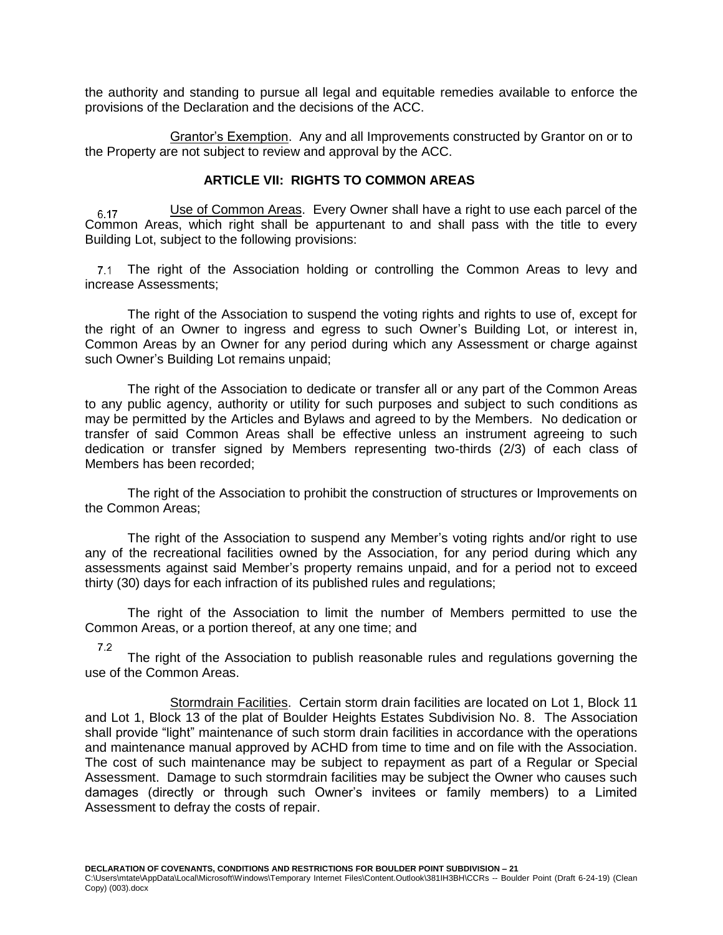the authority and standing to pursue all legal and equitable remedies available to enforce the provisions of the Declaration and the decisions of the ACC.

<span id="page-26-0"></span>Grantor's Exemption. Any and all Improvements constructed by Grantor on or to the Property are not subject to review and approval by the ACC.

## **ARTICLE VII: RIGHTS TO COMMON AREAS**

<span id="page-26-2"></span><span id="page-26-1"></span>Use of Common Areas. Every Owner shall have a right to use each parcel of the  $\frac{0.647}{0.617}$  Use of Common Areas. Every Owner shall have a right to use each parcel of the Common Areas, which right shall be appurtenant to and shall pass with the title to every Building Lot, subject to the following provisions:

The right of the Association holding or controlling the Common Areas to levy and increase Assessments;

The right of the Association to suspend the voting rights and rights to use of, except for the right of an Owner to ingress and egress to such Owner's Building Lot, or interest in, Common Areas by an Owner for any period during which any Assessment or charge against such Owner's Building Lot remains unpaid;

The right of the Association to dedicate or transfer all or any part of the Common Areas to any public agency, authority or utility for such purposes and subject to such conditions as may be permitted by the Articles and Bylaws and agreed to by the Members. No dedication or transfer of said Common Areas shall be effective unless an instrument agreeing to such dedication or transfer signed by Members representing two-thirds (2/3) of each class of Members has been recorded;

The right of the Association to prohibit the construction of structures or Improvements on the Common Areas;

The right of the Association to suspend any Member's voting rights and/or right to use any of the recreational facilities owned by the Association, for any period during which any assessments against said Member's property remains unpaid, and for a period not to exceed thirty (30) days for each infraction of its published rules and regulations;

The right of the Association to limit the number of Members permitted to use the Common Areas, or a portion thereof, at any one time; and

 $7.2$ 

The right of the Association to publish reasonable rules and regulations governing the use of the Common Areas.

<span id="page-26-3"></span>Stormdrain Facilities. Certain storm drain facilities are located on Lot 1, Block 11 and Lot 1, Block 13 of the plat of Boulder Heights Estates Subdivision No. 8. The Association shall provide "light" maintenance of such storm drain facilities in accordance with the operations and maintenance manual approved by ACHD from time to time and on file with the Association. The cost of such maintenance may be subject to repayment as part of a Regular or Special Assessment. Damage to such stormdrain facilities may be subject the Owner who causes such damages (directly or through such Owner's invitees or family members) to a Limited Assessment to defray the costs of repair.

**DECLARATION OF COVENANTS, CONDITIONS AND RESTRICTIONS FOR BOULDER POINT SUBDIVISION – 21**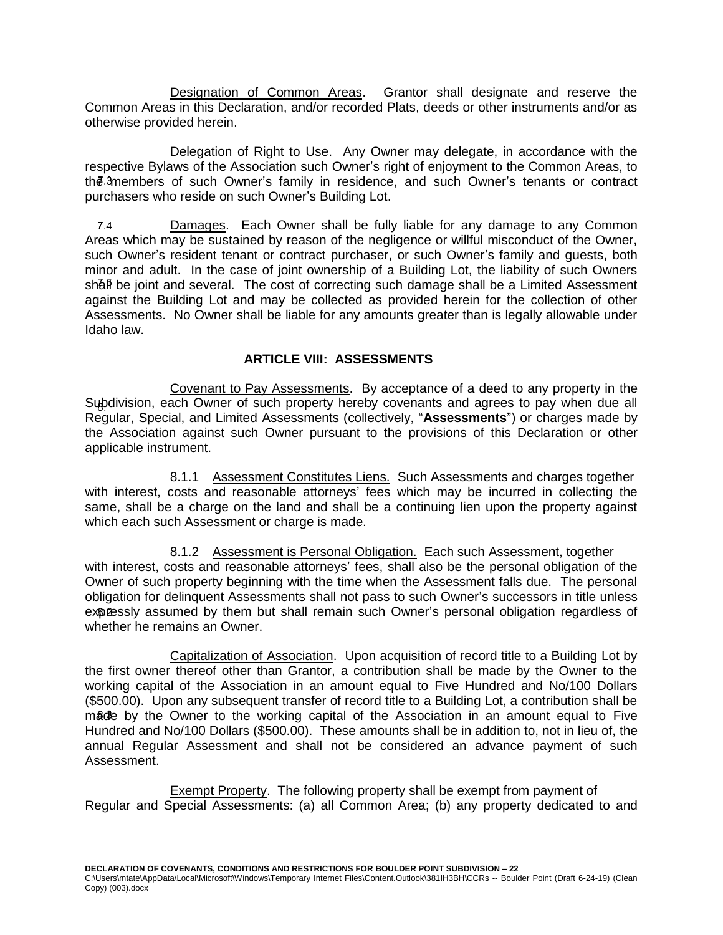<span id="page-27-0"></span>Designation of Common Areas. Grantor shall designate and reserve the Common Areas in this Declaration, and/or recorded Plats, deeds or other instruments and/or as otherwise provided herein.

<span id="page-27-1"></span>Delegation of Right to Use. Any Owner may delegate, in accordance with the respective Bylaws of the Association such Owner's right of enjoyment to the Common Areas, to the 3 members of such Owner's family in residence, and such Owner's tenants or contract purchasers who reside on such Owner's Building Lot.

<span id="page-27-2"></span> $7.4$ Damages. Each Owner shall be fully liable for any damage to any Common Areas which may be sustained by reason of the negligence or willful misconduct of the Owner, such Owner's resident tenant or contract purchaser, or such Owner's family and guests, both minor and adult. In the case of joint ownership of a Building Lot, the liability of such Owners shall be joint and several. The cost of correcting such damage shall be a Limited Assessment against the Building Lot and may be collected as provided herein for the collection of other Assessments. No Owner shall be liable for any amounts greater than is legally allowable under Idaho law.

## **ARTICLE VIII: ASSESSMENTS**

<span id="page-27-4"></span><span id="page-27-3"></span>Covenant to Pay Assessments. By acceptance of a deed to any property in the Subdivision, each Owner of such property hereby covenants and agrees to pay when due all Regular, Special, and Limited Assessments (collectively, "**Assessments**") or charges made by the Association against such Owner pursuant to the provisions of this Declaration or other applicable instrument.

<span id="page-27-5"></span>8.1.1 Assessment Constitutes Liens. Such Assessments and charges together with interest, costs and reasonable attorneys' fees which may be incurred in collecting the same, shall be a charge on the land and shall be a continuing lien upon the property against which each such Assessment or charge is made.

<span id="page-27-6"></span>8.1.2 Assessment is Personal Obligation. Each such Assessment, together with interest, costs and reasonable attorneys' fees, shall also be the personal obligation of the Owner of such property beginning with the time when the Assessment falls due. The personal obligation for delinquent Assessments shall not pass to such Owner's successors in title unless expressly assumed by them but shall remain such Owner's personal obligation regardless of whether he remains an Owner.

<span id="page-27-7"></span>Capitalization of Association. Upon acquisition of record title to a Building Lot by the first owner thereof other than Grantor, a contribution shall be made by the Owner to the working capital of the Association in an amount equal to Five Hundred and No/100 Dollars (\$500.00). Upon any subsequent transfer of record title to a Building Lot, a contribution shall be made by the Owner to the working capital of the Association in an amount equal to Five Hundred and No/100 Dollars (\$500.00). These amounts shall be in addition to, not in lieu of, the annual Regular Assessment and shall not be considered an advance payment of such Assessment.

<span id="page-27-8"></span>Exempt Property. The following property shall be exempt from payment of Regular and Special Assessments: (a) all Common Area; (b) any property dedicated to and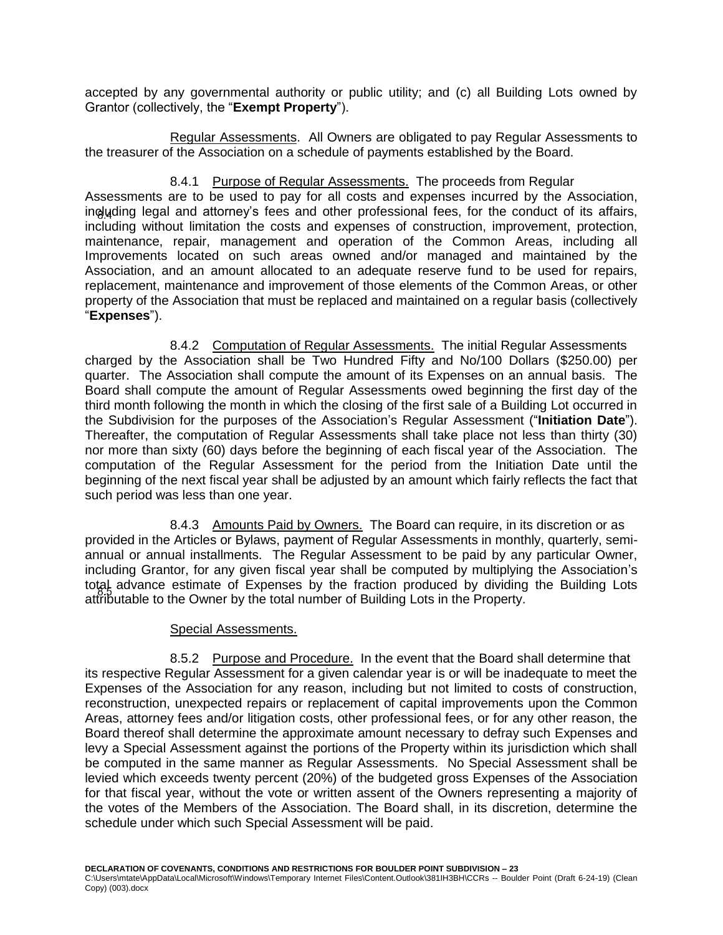accepted by any governmental authority or public utility; and (c) all Building Lots owned by Grantor (collectively, the "**Exempt Property**").

<span id="page-28-0"></span>Regular Assessments. All Owners are obligated to pay Regular Assessments to the treasurer of the Association on a schedule of payments established by the Board.

## 8.4.1 Purpose of Regular Assessments. The proceeds from Regular

<span id="page-28-1"></span>Assessments are to be used to pay for all costs and expenses incurred by the Association, including legal and attorney's fees and other professional fees, for the conduct of its affairs, including without limitation the costs and expenses of construction, improvement, protection, maintenance, repair, management and operation of the Common Areas, including all Improvements located on such areas owned and/or managed and maintained by the Association, and an amount allocated to an adequate reserve fund to be used for repairs, replacement, maintenance and improvement of those elements of the Common Areas, or other property of the Association that must be replaced and maintained on a regular basis (collectively "**Expenses**").

<span id="page-28-2"></span>8.4.2 Computation of Regular Assessments. The initial Regular Assessments charged by the Association shall be Two Hundred Fifty and No/100 Dollars (\$250.00) per quarter. The Association shall compute the amount of its Expenses on an annual basis. The Board shall compute the amount of Regular Assessments owed beginning the first day of the third month following the month in which the closing of the first sale of a Building Lot occurred in the Subdivision for the purposes of the Association's Regular Assessment ("**Initiation Date**"). Thereafter, the computation of Regular Assessments shall take place not less than thirty (30) nor more than sixty (60) days before the beginning of each fiscal year of the Association. The computation of the Regular Assessment for the period from the Initiation Date until the beginning of the next fiscal year shall be adjusted by an amount which fairly reflects the fact that such period was less than one year.

<span id="page-28-3"></span>8.4.3 Amounts Paid by Owners. The Board can require, in its discretion or as provided in the Articles or Bylaws, payment of Regular Assessments in monthly, quarterly, semiannual or annual installments. The Regular Assessment to be paid by any particular Owner, including Grantor, for any given fiscal year shall be computed by multiplying the Association's total advance estimate of Expenses by the fraction produced by dividing the Building Lots attributable to the Owner by the total number of Building Lots in the Property.

### <span id="page-28-5"></span>Special Assessments.

<span id="page-28-6"></span><span id="page-28-4"></span>8.5.2 Purpose and Procedure. In the event that the Board shall determine that its respective Regular Assessment for a given calendar year is or will be inadequate to meet the Expenses of the Association for any reason, including but not limited to costs of construction, reconstruction, unexpected repairs or replacement of capital improvements upon the Common Areas, attorney fees and/or litigation costs, other professional fees, or for any other reason, the Board thereof shall determine the approximate amount necessary to defray such Expenses and levy a Special Assessment against the portions of the Property within its jurisdiction which shall be computed in the same manner as Regular Assessments. No Special Assessment shall be levied which exceeds twenty percent (20%) of the budgeted gross Expenses of the Association for that fiscal year, without the vote or written assent of the Owners representing a majority of the votes of the Members of the Association. The Board shall, in its discretion, determine the schedule under which such Special Assessment will be paid.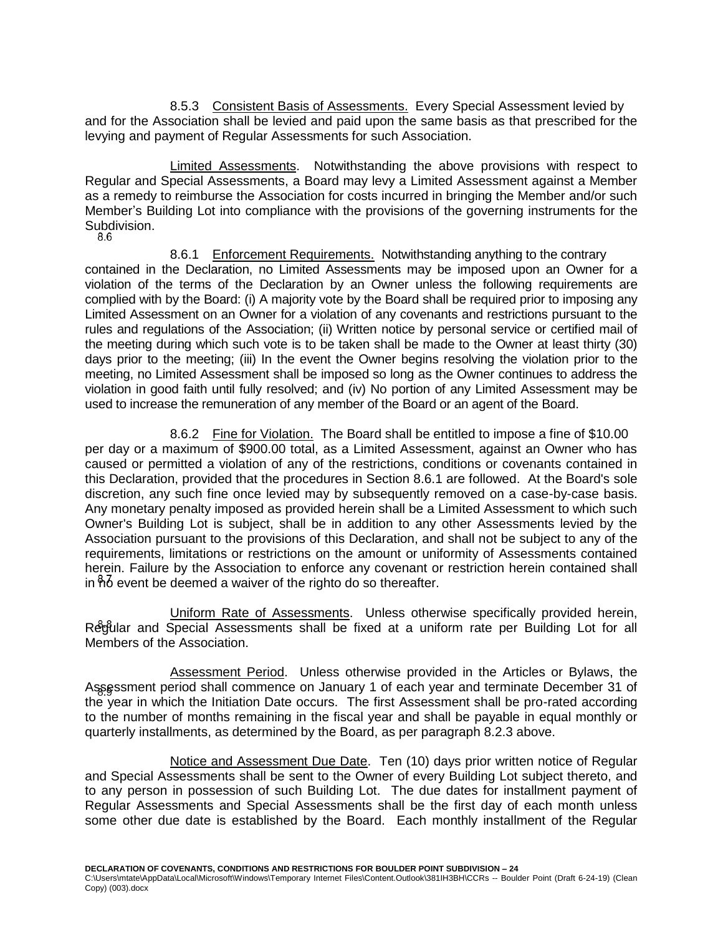<span id="page-29-0"></span>8.5.3 Consistent Basis of Assessments. Every Special Assessment levied by and for the Association shall be levied and paid upon the same basis as that prescribed for the levying and payment of Regular Assessments for such Association.

<span id="page-29-1"></span>Limited Assessments. Notwithstanding the above provisions with respect to Regular and Special Assessments, a Board may levy a Limited Assessment against a Member as a remedy to reimburse the Association for costs incurred in bringing the Member and/or such Member's Building Lot into compliance with the provisions of the governing instruments for the Subdivision.<br>8.6

<span id="page-29-2"></span>8.6.1 Enforcement Requirements. Notwithstanding anything to the contrary contained in the Declaration, no Limited Assessments may be imposed upon an Owner for a violation of the terms of the Declaration by an Owner unless the following requirements are complied with by the Board: (i) A majority vote by the Board shall be required prior to imposing any Limited Assessment on an Owner for a violation of any covenants and restrictions pursuant to the rules and regulations of the Association; (ii) Written notice by personal service or certified mail of the meeting during which such vote is to be taken shall be made to the Owner at least thirty (30) days prior to the meeting; (iii) In the event the Owner begins resolving the violation prior to the meeting, no Limited Assessment shall be imposed so long as the Owner continues to address the violation in good faith until fully resolved; and (iv) No portion of any Limited Assessment may be used to increase the remuneration of any member of the Board or an agent of the Board.

<span id="page-29-3"></span>8.6.2 Fine for Violation. The Board shall be entitled to impose a fine of \$10.00 per day or a maximum of \$900.00 total, as a Limited Assessment, against an Owner who has caused or permitted a violation of any of the restrictions, conditions or covenants contained in this Declaration, provided that the procedures in Section 8.6.1 are followed. At the Board's sole discretion, any such fine once levied may by subsequently removed on a case-by-case basis. Any monetary penalty imposed as provided herein shall be a Limited Assessment to which such Owner's Building Lot is subject, shall be in addition to any other Assessments levied by the Association pursuant to the provisions of this Declaration, and shall not be subject to any of the requirements, limitations or restrictions on the amount or uniformity of Assessments contained herein. Failure by the Association to enforce any covenant or restriction herein contained shall in  $ho$  event be deemed a waiver of the righto do so thereafter.

<span id="page-29-4"></span>Uniform Rate of Assessments. Unless otherwise specifically provided herein, Regular and Special Assessments shall be fixed at a uniform rate per Building Lot for all Members of the Association.

<span id="page-29-5"></span>Assessment Period. Unless otherwise provided in the Articles or Bylaws, the Assessment period shall commence on January 1 of each year and terminate December 31 of the year in which the Initiation Date occurs. The first Assessment shall be pro-rated according to the number of months remaining in the fiscal year and shall be payable in equal monthly or quarterly installments, as determined by the Board, as per paragraph 8.2.3 above.

<span id="page-29-6"></span>Notice and Assessment Due Date. Ten (10) days prior written notice of Regular and Special Assessments shall be sent to the Owner of every Building Lot subject thereto, and to any person in possession of such Building Lot. The due dates for installment payment of Regular Assessments and Special Assessments shall be the first day of each month unless some other due date is established by the Board. Each monthly installment of the Regular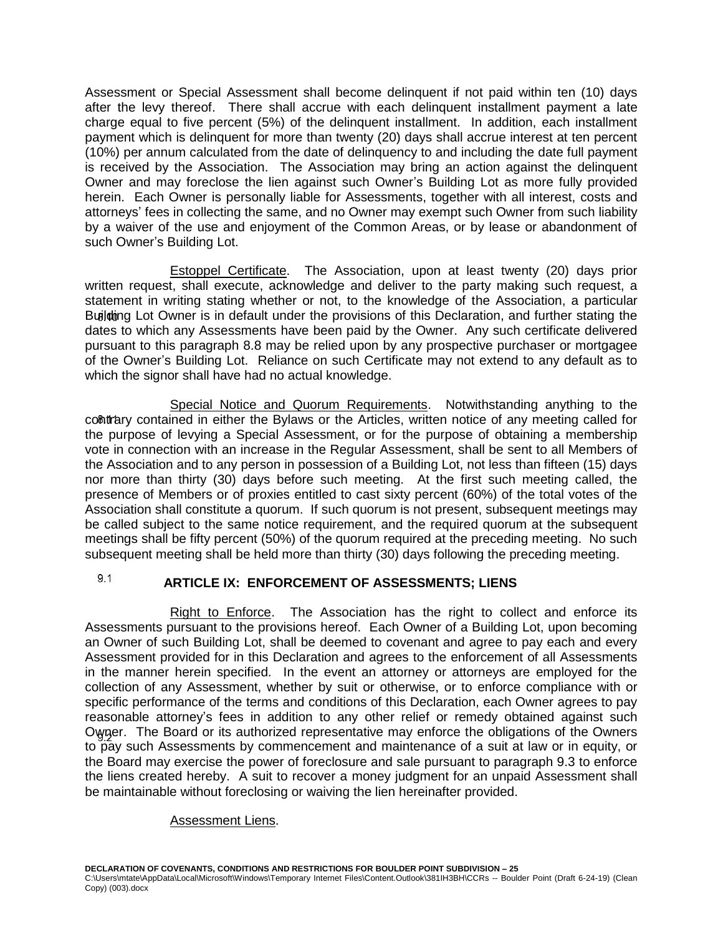Assessment or Special Assessment shall become delinquent if not paid within ten (10) days after the levy thereof. There shall accrue with each delinquent installment payment a late charge equal to five percent (5%) of the delinquent installment. In addition, each installment payment which is delinquent for more than twenty (20) days shall accrue interest at ten percent (10%) per annum calculated from the date of delinquency to and including the date full payment is received by the Association. The Association may bring an action against the delinquent Owner and may foreclose the lien against such Owner's Building Lot as more fully provided herein. Each Owner is personally liable for Assessments, together with all interest, costs and attorneys' fees in collecting the same, and no Owner may exempt such Owner from such liability by a waiver of the use and enjoyment of the Common Areas, or by lease or abandonment of such Owner's Building Lot.

<span id="page-30-0"></span>Estoppel Certificate. The Association, upon at least twenty (20) days prior written request, shall execute, acknowledge and deliver to the party making such request, a statement in writing stating whether or not, to the knowledge of the Association, a particular Building Lot Owner is in default under the provisions of this Declaration, and further stating the dates to which any Assessments have been paid by the Owner. Any such certificate delivered pursuant to this paragraph 8.8 may be relied upon by any prospective purchaser or mortgagee of the Owner's Building Lot. Reliance on such Certificate may not extend to any default as to which the signor shall have had no actual knowledge.

<span id="page-30-1"></span>Special Notice and Quorum Requirements. Notwithstanding anything to the contrary contained in either the Bylaws or the Articles, written notice of any meeting called for the purpose of levying a Special Assessment, or for the purpose of obtaining a membership vote in connection with an increase in the Regular Assessment, shall be sent to all Members of the Association and to any person in possession of a Building Lot, not less than fifteen (15) days nor more than thirty (30) days before such meeting. At the first such meeting called, the presence of Members or of proxies entitled to cast sixty percent (60%) of the total votes of the Association shall constitute a quorum. If such quorum is not present, subsequent meetings may be called subject to the same notice requirement, and the required quorum at the subsequent meetings shall be fifty percent (50%) of the quorum required at the preceding meeting. No such subsequent meeting shall be held more than thirty (30) days following the preceding meeting.

#### <span id="page-30-2"></span> $9.1$ **ARTICLE IX: ENFORCEMENT OF ASSESSMENTS; LIENS**

<span id="page-30-3"></span>Right to Enforce. The Association has the right to collect and enforce its Assessments pursuant to the provisions hereof. Each Owner of a Building Lot, upon becoming an Owner of such Building Lot, shall be deemed to covenant and agree to pay each and every Assessment provided for in this Declaration and agrees to the enforcement of all Assessments in the manner herein specified. In the event an attorney or attorneys are employed for the collection of any Assessment, whether by suit or otherwise, or to enforce compliance with or specific performance of the terms and conditions of this Declaration, each Owner agrees to pay reasonable attorney's fees in addition to any other relief or remedy obtained against such Owner. The Board or its authorized representative may enforce the obligations of the Owners to pay such Assessments by commencement and maintenance of a suit at law or in equity, or the Board may exercise the power of foreclosure and sale pursuant to paragraph 9.3 to enforce the liens created hereby. A suit to recover a money judgment for an unpaid Assessment shall be maintainable without foreclosing or waiving the lien hereinafter provided.

### <span id="page-30-4"></span>Assessment Liens.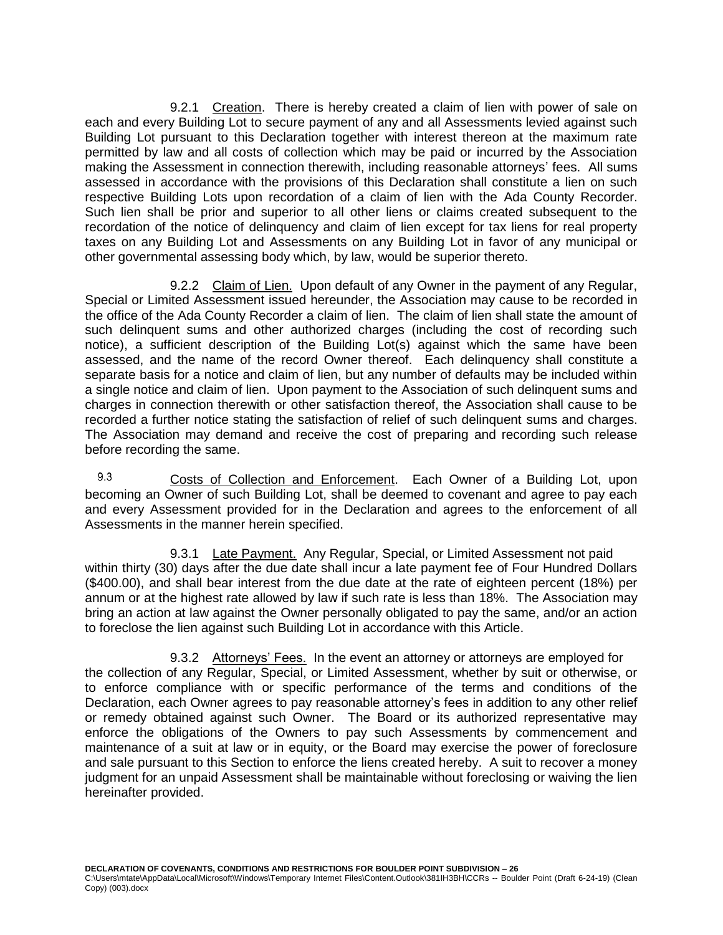<span id="page-31-0"></span>9.2.1 Creation. There is hereby created a claim of lien with power of sale on each and every Building Lot to secure payment of any and all Assessments levied against such Building Lot pursuant to this Declaration together with interest thereon at the maximum rate permitted by law and all costs of collection which may be paid or incurred by the Association making the Assessment in connection therewith, including reasonable attorneys' fees. All sums assessed in accordance with the provisions of this Declaration shall constitute a lien on such respective Building Lots upon recordation of a claim of lien with the Ada County Recorder. Such lien shall be prior and superior to all other liens or claims created subsequent to the recordation of the notice of delinquency and claim of lien except for tax liens for real property taxes on any Building Lot and Assessments on any Building Lot in favor of any municipal or other governmental assessing body which, by law, would be superior thereto.

<span id="page-31-1"></span>9.2.2 Claim of Lien. Upon default of any Owner in the payment of any Regular, Special or Limited Assessment issued hereunder, the Association may cause to be recorded in the office of the Ada County Recorder a claim of lien. The claim of lien shall state the amount of such delinquent sums and other authorized charges (including the cost of recording such notice), a sufficient description of the Building Lot(s) against which the same have been assessed, and the name of the record Owner thereof. Each delinquency shall constitute a separate basis for a notice and claim of lien, but any number of defaults may be included within a single notice and claim of lien. Upon payment to the Association of such delinquent sums and charges in connection therewith or other satisfaction thereof, the Association shall cause to be recorded a further notice stating the satisfaction of relief of such delinquent sums and charges. The Association may demand and receive the cost of preparing and recording such release before recording the same.

<span id="page-31-2"></span> $9.3$ Costs of Collection and Enforcement. Each Owner of a Building Lot, upon becoming an Owner of such Building Lot, shall be deemed to covenant and agree to pay each and every Assessment provided for in the Declaration and agrees to the enforcement of all Assessments in the manner herein specified.

<span id="page-31-3"></span>9.3.1 Late Payment. Any Regular, Special, or Limited Assessment not paid within thirty (30) days after the due date shall incur a late payment fee of Four Hundred Dollars (\$400.00), and shall bear interest from the due date at the rate of eighteen percent (18%) per annum or at the highest rate allowed by law if such rate is less than 18%. The Association may bring an action at law against the Owner personally obligated to pay the same, and/or an action to foreclose the lien against such Building Lot in accordance with this Article.

<span id="page-31-4"></span>9.3.2 Attorneys' Fees. In the event an attorney or attorneys are employed for the collection of any Regular, Special, or Limited Assessment, whether by suit or otherwise, or to enforce compliance with or specific performance of the terms and conditions of the Declaration, each Owner agrees to pay reasonable attorney's fees in addition to any other relief or remedy obtained against such Owner. The Board or its authorized representative may enforce the obligations of the Owners to pay such Assessments by commencement and maintenance of a suit at law or in equity, or the Board may exercise the power of foreclosure and sale pursuant to this Section to enforce the liens created hereby. A suit to recover a money judgment for an unpaid Assessment shall be maintainable without foreclosing or waiving the lien hereinafter provided.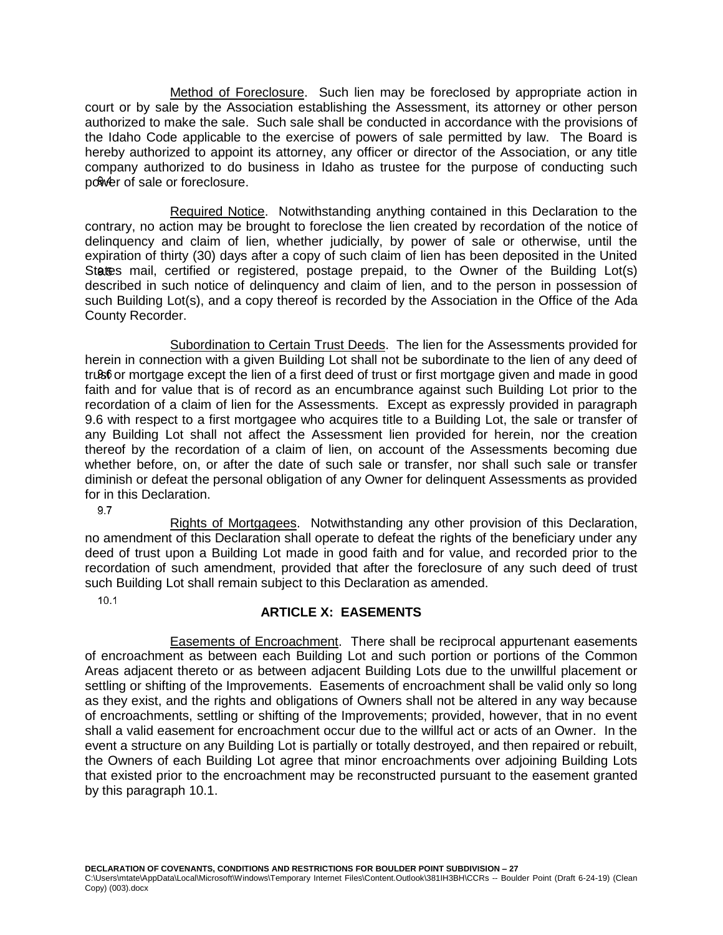<span id="page-32-0"></span>Method of Foreclosure. Such lien may be foreclosed by appropriate action in court or by sale by the Association establishing the Assessment, its attorney or other person authorized to make the sale. Such sale shall be conducted in accordance with the provisions of the Idaho Code applicable to the exercise of powers of sale permitted by law. The Board is hereby authorized to appoint its attorney, any officer or director of the Association, or any title company authorized to do business in Idaho as trustee for the purpose of conducting such power of sale or foreclosure.

<span id="page-32-1"></span>Required Notice. Notwithstanding anything contained in this Declaration to the contrary, no action may be brought to foreclose the lien created by recordation of the notice of delinquency and claim of lien, whether judicially, by power of sale or otherwise, until the expiration of thirty (30) days after a copy of such claim of lien has been deposited in the United States mail, certified or registered, postage prepaid, to the Owner of the Building Lot(s) described in such notice of delinquency and claim of lien, and to the person in possession of such Building Lot(s), and a copy thereof is recorded by the Association in the Office of the Ada County Recorder.

<span id="page-32-2"></span>Subordination to Certain Trust Deeds. The lien for the Assessments provided for herein in connection with a given Building Lot shall not be subordinate to the lien of any deed of trust or mortgage except the lien of a first deed of trust or first mortgage given and made in good faith and for value that is of record as an encumbrance against such Building Lot prior to the recordation of a claim of lien for the Assessments. Except as expressly provided in paragraph 9.6 with respect to a first mortgagee who acquires title to a Building Lot, the sale or transfer of any Building Lot shall not affect the Assessment lien provided for herein, nor the creation thereof by the recordation of a claim of lien, on account of the Assessments becoming due whether before, on, or after the date of such sale or transfer, nor shall such sale or transfer diminish or defeat the personal obligation of any Owner for delinquent Assessments as provided for in this Declaration.

9.7

<span id="page-32-3"></span>Rights of Mortgagees. Notwithstanding any other provision of this Declaration, no amendment of this Declaration shall operate to defeat the rights of the beneficiary under any deed of trust upon a Building Lot made in good faith and for value, and recorded prior to the recordation of such amendment, provided that after the foreclosure of any such deed of trust such Building Lot shall remain subject to this Declaration as amended.

<span id="page-32-4"></span> $10.1$ 

# **ARTICLE X: EASEMENTS**

<span id="page-32-5"></span>Easements of Encroachment. There shall be reciprocal appurtenant easements of encroachment as between each Building Lot and such portion or portions of the Common Areas adjacent thereto or as between adjacent Building Lots due to the unwillful placement or settling or shifting of the Improvements. Easements of encroachment shall be valid only so long as they exist, and the rights and obligations of Owners shall not be altered in any way because of encroachments, settling or shifting of the Improvements; provided, however, that in no event shall a valid easement for encroachment occur due to the willful act or acts of an Owner. In the event a structure on any Building Lot is partially or totally destroyed, and then repaired or rebuilt, the Owners of each Building Lot agree that minor encroachments over adjoining Building Lots that existed prior to the encroachment may be reconstructed pursuant to the easement granted by this paragraph 10.1.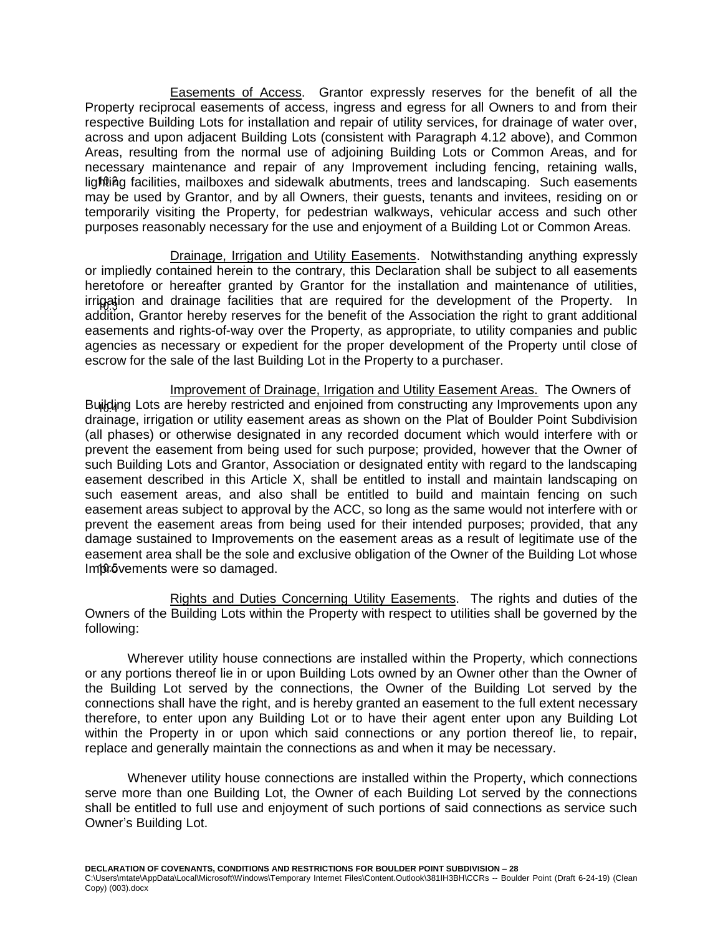<span id="page-33-0"></span>Easements of Access. Grantor expressly reserves for the benefit of all the Property reciprocal easements of access, ingress and egress for all Owners to and from their respective Building Lots for installation and repair of utility services, for drainage of water over, across and upon adjacent Building Lots (consistent with Paragraph 4.12 above), and Common Areas, resulting from the normal use of adjoining Building Lots or Common Areas, and for necessary maintenance and repair of any Improvement including fencing, retaining walls, lighting facilities, mailboxes and sidewalk abutments, trees and landscaping. Such easements may be used by Grantor, and by all Owners, their guests, tenants and invitees, residing on or temporarily visiting the Property, for pedestrian walkways, vehicular access and such other purposes reasonably necessary for the use and enjoyment of a Building Lot or Common Areas.

<span id="page-33-1"></span>Drainage, Irrigation and Utility Easements. Notwithstanding anything expressly or impliedly contained herein to the contrary, this Declaration shall be subject to all easements heretofore or hereafter granted by Grantor for the installation and maintenance of utilities, irrigation and drainage facilities that are required for the development of the Property. In addition, Grantor hereby reserves for the benefit of the Association the right to grant additional easements and rights-of-way over the Property, as appropriate, to utility companies and public agencies as necessary or expedient for the proper development of the Property until close of escrow for the sale of the last Building Lot in the Property to a purchaser.

<span id="page-33-2"></span>Improvement of Drainage, Irrigation and Utility Easement Areas. The Owners of Building Lots are hereby restricted and enjoined from constructing any Improvements upon any drainage, irrigation or utility easement areas as shown on the Plat of Boulder Point Subdivision (all phases) or otherwise designated in any recorded document which would interfere with or prevent the easement from being used for such purpose; provided, however that the Owner of such Building Lots and Grantor, Association or designated entity with regard to the landscaping easement described in this Article X, shall be entitled to install and maintain landscaping on such easement areas, and also shall be entitled to build and maintain fencing on such easement areas subject to approval by the ACC, so long as the same would not interfere with or prevent the easement areas from being used for their intended purposes; provided, that any damage sustained to Improvements on the easement areas as a result of legitimate use of the easement area shall be the sole and exclusive obligation of the Owner of the Building Lot whose Improvements were so damaged.

<span id="page-33-3"></span>Rights and Duties Concerning Utility Easements. The rights and duties of the Owners of the Building Lots within the Property with respect to utilities shall be governed by the following:

Wherever utility house connections are installed within the Property, which connections or any portions thereof lie in or upon Building Lots owned by an Owner other than the Owner of the Building Lot served by the connections, the Owner of the Building Lot served by the connections shall have the right, and is hereby granted an easement to the full extent necessary therefore, to enter upon any Building Lot or to have their agent enter upon any Building Lot within the Property in or upon which said connections or any portion thereof lie, to repair, replace and generally maintain the connections as and when it may be necessary.

Whenever utility house connections are installed within the Property, which connections serve more than one Building Lot, the Owner of each Building Lot served by the connections shall be entitled to full use and enjoyment of such portions of said connections as service such Owner's Building Lot.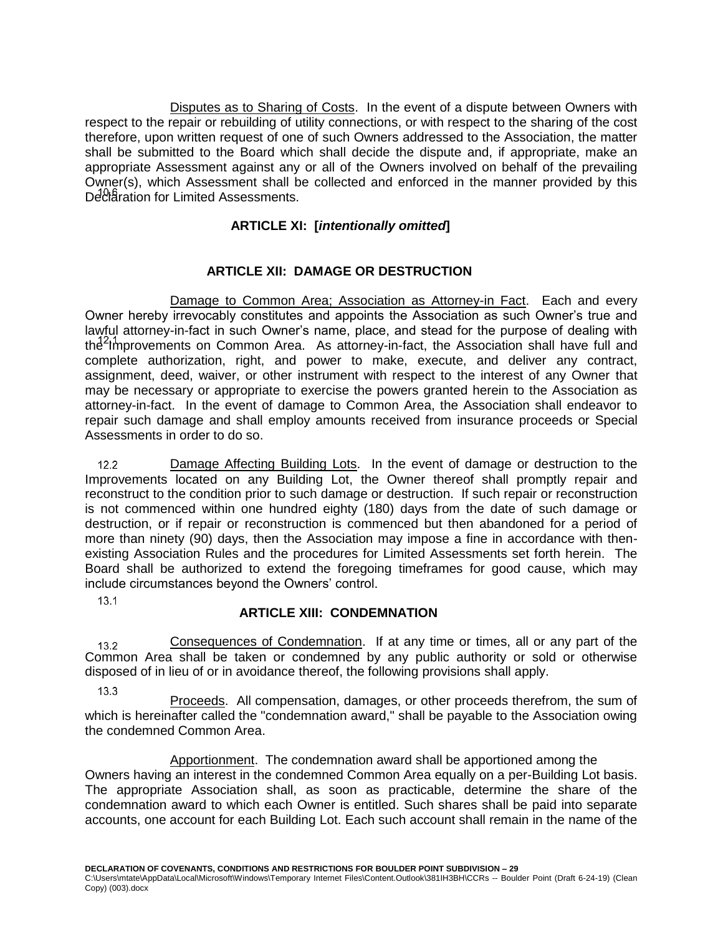<span id="page-34-0"></span>Disputes as to Sharing of Costs. In the event of a dispute between Owners with respect to the repair or rebuilding of utility connections, or with respect to the sharing of the cost therefore, upon written request of one of such Owners addressed to the Association, the matter shall be submitted to the Board which shall decide the dispute and, if appropriate, make an appropriate Assessment against any or all of the Owners involved on behalf of the prevailing Owner(s), which Assessment shall be collected and enforced in the manner provided by this Declaration for Limited Assessments.

## **ARTICLE XI: [***intentionally omitted***]**

## **ARTICLE XII: DAMAGE OR DESTRUCTION**

<span id="page-34-3"></span><span id="page-34-2"></span><span id="page-34-1"></span>Damage to Common Area; Association as Attorney-in Fact. Each and every Owner hereby irrevocably constitutes and appoints the Association as such Owner's true and lawful attorney-in-fact in such Owner's name, place, and stead for the purpose of dealing with the Improvements on Common Area. As attorney-in-fact, the Association shall have full and complete authorization, right, and power to make, execute, and deliver any contract, assignment, deed, waiver, or other instrument with respect to the interest of any Owner that may be necessary or appropriate to exercise the powers granted herein to the Association as attorney-in-fact. In the event of damage to Common Area, the Association shall endeavor to repair such damage and shall employ amounts received from insurance proceeds or Special Assessments in order to do so.

<span id="page-34-4"></span>Damage Affecting Building Lots. In the event of damage or destruction to the  $12.2<sub>1</sub>$ Improvements located on any Building Lot, the Owner thereof shall promptly repair and reconstruct to the condition prior to such damage or destruction. If such repair or reconstruction is not commenced within one hundred eighty (180) days from the date of such damage or destruction, or if repair or reconstruction is commenced but then abandoned for a period of more than ninety (90) days, then the Association may impose a fine in accordance with thenexisting Association Rules and the procedures for Limited Assessments set forth herein. The Board shall be authorized to extend the foregoing timeframes for good cause, which may include circumstances beyond the Owners' control.

<span id="page-34-5"></span> $13.1$ 

## **ARTICLE XIII: CONDEMNATION**

<span id="page-34-6"></span>Consequences of Condemnation. If at any time or times, all or any part of the  $13.2$ Common Area shall be taken or condemned by any public authority or sold or otherwise disposed of in lieu of or in avoidance thereof, the following provisions shall apply.

 $13.3$ 

<span id="page-34-7"></span>**Proceeds.** All compensation, damages, or other proceeds therefrom, the sum of which is hereinafter called the "condemnation award," shall be payable to the Association owing the condemned Common Area.

<span id="page-34-8"></span>Apportionment. The condemnation award shall be apportioned among the Owners having an interest in the condemned Common Area equally on a per-Building Lot basis. The appropriate Association shall, as soon as practicable, determine the share of the condemnation award to which each Owner is entitled. Such shares shall be paid into separate accounts, one account for each Building Lot. Each such account shall remain in the name of the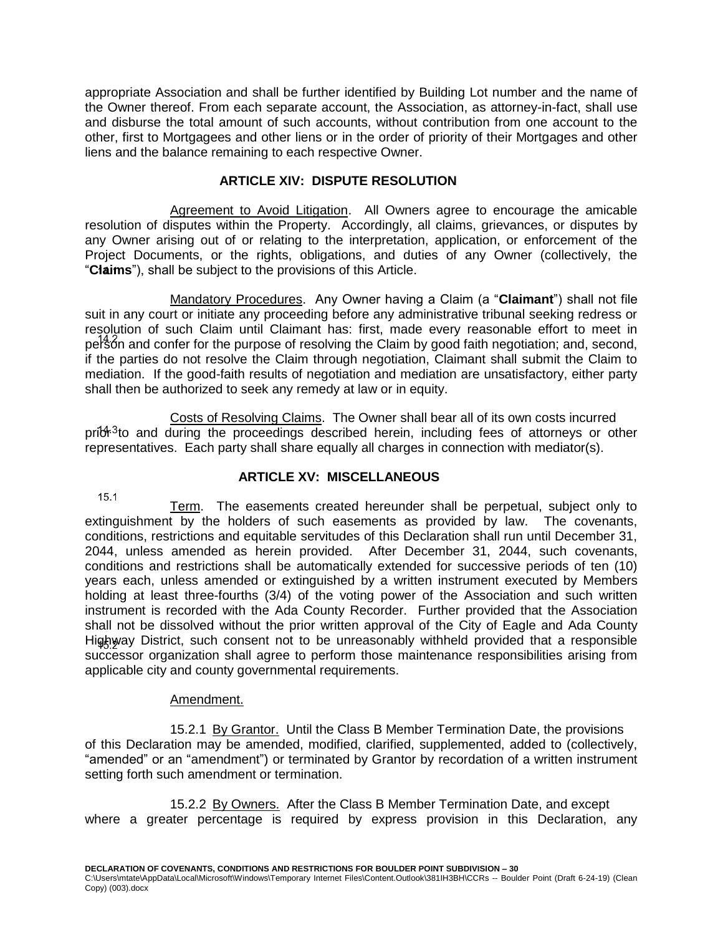appropriate Association and shall be further identified by Building Lot number and the name of the Owner thereof. From each separate account, the Association, as attorney-in-fact, shall use and disburse the total amount of such accounts, without contribution from one account to the other, first to Mortgagees and other liens or in the order of priority of their Mortgages and other liens and the balance remaining to each respective Owner.

## **ARTICLE XIV: DISPUTE RESOLUTION**

<span id="page-35-1"></span><span id="page-35-0"></span>Agreement to Avoid Litigation. All Owners agree to encourage the amicable resolution of disputes within the Property. Accordingly, all claims, grievances, or disputes by any Owner arising out of or relating to the interpretation, application, or enforcement of the Project Documents, or the rights, obligations, and duties of any Owner (collectively, the "**Claims**"), shall be subject to the provisions of this Article.

<span id="page-35-2"></span>Mandatory Procedures. Any Owner having a Claim (a "**Claimant**") shall not file suit in any court or initiate any proceeding before any administrative tribunal seeking redress or resolution of such Claim until Claimant has: first, made every reasonable effort to meet in person and confer for the purpose of resolving the Claim by good faith negotiation; and, second, if the parties do not resolve the Claim through negotiation, Claimant shall submit the Claim to mediation. If the good-faith results of negotiation and mediation are unsatisfactory, either party shall then be authorized to seek any remedy at law or in equity.

<span id="page-35-3"></span>Costs of Resolving Claims. The Owner shall bear all of its own costs incurred  $pri\mathfrak{F}^{3}$  and during the proceedings described herein, including fees of attorneys or other representatives. Each party shall share equally all charges in connection with mediator(s).

## **ARTICLE XV: MISCELLANEOUS**

<span id="page-35-5"></span><span id="page-35-4"></span> $15.1$ Term. The easements created hereunder shall be perpetual, subject only to extinguishment by the holders of such easements as provided by law. The covenants, conditions, restrictions and equitable servitudes of this Declaration shall run until December 31, 2044, unless amended as herein provided. After December 31, 2044, such covenants, conditions and restrictions shall be automatically extended for successive periods of ten (10) years each, unless amended or extinguished by a written instrument executed by Members holding at least three-fourths (3/4) of the voting power of the Association and such written instrument is recorded with the Ada County Recorder. Further provided that the Association shall not be dissolved without the prior written approval of the City of Eagle and Ada County Highway District, such consent not to be unreasonably withheld provided that a responsible successor organization shall agree to perform those maintenance responsibilities arising from applicable city and county governmental requirements.

### Amendment.

<span id="page-35-7"></span><span id="page-35-6"></span>15.2.1 By Grantor. Until the Class B Member Termination Date, the provisions of this Declaration may be amended, modified, clarified, supplemented, added to (collectively, "amended" or an "amendment") or terminated by Grantor by recordation of a written instrument setting forth such amendment or termination.

<span id="page-35-8"></span>15.2.2 By Owners. After the Class B Member Termination Date, and except where a greater percentage is required by express provision in this Declaration, any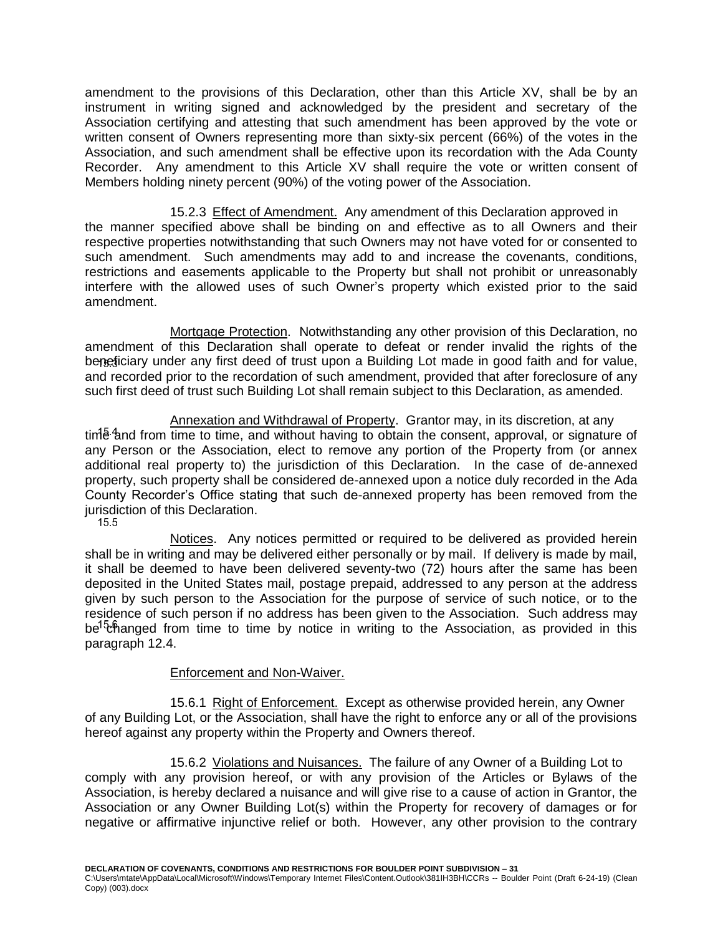amendment to the provisions of this Declaration, other than this Article XV, shall be by an instrument in writing signed and acknowledged by the president and secretary of the Association certifying and attesting that such amendment has been approved by the vote or written consent of Owners representing more than sixty-six percent (66%) of the votes in the Association, and such amendment shall be effective upon its recordation with the Ada County Recorder. Any amendment to this Article XV shall require the vote or written consent of Members holding ninety percent (90%) of the voting power of the Association.

<span id="page-36-0"></span>15.2.3 Effect of Amendment. Any amendment of this Declaration approved in the manner specified above shall be binding on and effective as to all Owners and their respective properties notwithstanding that such Owners may not have voted for or consented to such amendment. Such amendments may add to and increase the covenants, conditions, restrictions and easements applicable to the Property but shall not prohibit or unreasonably interfere with the allowed uses of such Owner's property which existed prior to the said amendment.

<span id="page-36-1"></span>Mortgage Protection. Notwithstanding any other provision of this Declaration, no amendment of this Declaration shall operate to defeat or render invalid the rights of the beneficiary under any first deed of trust upon a Building Lot made in good faith and for value, and recorded prior to the recordation of such amendment, provided that after foreclosure of any such first deed of trust such Building Lot shall remain subject to this Declaration, as amended.

<span id="page-36-2"></span>Annexation and Withdrawal of Property. Grantor may, in its discretion, at any  $t$ im  $\frac{1}{2}$  and from time to time, and without having to obtain the consent, approval, or signature of any Person or the Association, elect to remove any portion of the Property from (or annex additional real property to) the jurisdiction of this Declaration. In the case of de-annexed property, such property shall be considered de-annexed upon a notice duly recorded in the Ada County Recorder's Office stating that such de-annexed property has been removed from the jurisdiction of this Declaration.<br>15.5

<span id="page-36-3"></span>Notices. Any notices permitted or required to be delivered as provided herein shall be in writing and may be delivered either personally or by mail. If delivery is made by mail, it shall be deemed to have been delivered seventy-two (72) hours after the same has been deposited in the United States mail, postage prepaid, addressed to any person at the address given by such person to the Association for the purpose of service of such notice, or to the residence of such person if no address has been given to the Association. Such address may be  $^{\text{1}}$  changed from time to time by notice in writing to the Association, as provided in this paragraph 12.4.

## Enforcement and Non-Waiver.

<span id="page-36-5"></span><span id="page-36-4"></span>15.6.1 Right of Enforcement. Except as otherwise provided herein, any Owner of any Building Lot, or the Association, shall have the right to enforce any or all of the provisions hereof against any property within the Property and Owners thereof.

<span id="page-36-6"></span>15.6.2 Violations and Nuisances. The failure of any Owner of a Building Lot to comply with any provision hereof, or with any provision of the Articles or Bylaws of the Association, is hereby declared a nuisance and will give rise to a cause of action in Grantor, the Association or any Owner Building Lot(s) within the Property for recovery of damages or for negative or affirmative injunctive relief or both. However, any other provision to the contrary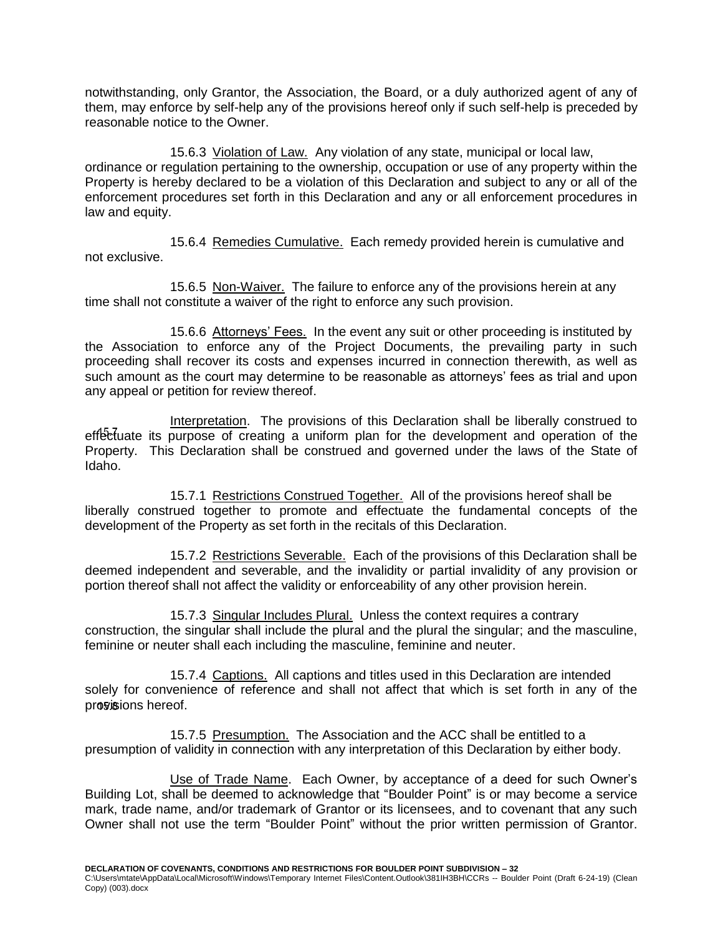notwithstanding, only Grantor, the Association, the Board, or a duly authorized agent of any of them, may enforce by self-help any of the provisions hereof only if such self-help is preceded by reasonable notice to the Owner.

<span id="page-37-0"></span>15.6.3 Violation of Law. Any violation of any state, municipal or local law, ordinance or regulation pertaining to the ownership, occupation or use of any property within the Property is hereby declared to be a violation of this Declaration and subject to any or all of the enforcement procedures set forth in this Declaration and any or all enforcement procedures in law and equity.

<span id="page-37-1"></span>15.6.4 Remedies Cumulative. Each remedy provided herein is cumulative and not exclusive.

<span id="page-37-2"></span>15.6.5 Non-Waiver. The failure to enforce any of the provisions herein at any time shall not constitute a waiver of the right to enforce any such provision.

<span id="page-37-3"></span>15.6.6 Attorneys' Fees. In the event any suit or other proceeding is instituted by the Association to enforce any of the Project Documents, the prevailing party in such proceeding shall recover its costs and expenses incurred in connection therewith, as well as such amount as the court may determine to be reasonable as attorneys' fees as trial and upon any appeal or petition for review thereof.

<span id="page-37-4"></span>Interpretation. The provisions of this Declaration shall be liberally construed to effectuate its purpose of creating a uniform plan for the development and operation of the Property. This Declaration shall be construed and governed under the laws of the State of Idaho.

<span id="page-37-5"></span>15.7.1 Restrictions Construed Together. All of the provisions hereof shall be liberally construed together to promote and effectuate the fundamental concepts of the development of the Property as set forth in the recitals of this Declaration.

<span id="page-37-6"></span>15.7.2 Restrictions Severable. Each of the provisions of this Declaration shall be deemed independent and severable, and the invalidity or partial invalidity of any provision or portion thereof shall not affect the validity or enforceability of any other provision herein.

<span id="page-37-7"></span>15.7.3 Singular Includes Plural. Unless the context requires a contrary construction, the singular shall include the plural and the plural the singular; and the masculine, feminine or neuter shall each including the masculine, feminine and neuter.

<span id="page-37-8"></span>15.7.4 Captions. All captions and titles used in this Declaration are intended solely for convenience of reference and shall not affect that which is set forth in any of the provisions hereof.

<span id="page-37-9"></span>15.7.5 Presumption. The Association and the ACC shall be entitled to a presumption of validity in connection with any interpretation of this Declaration by either body.

<span id="page-37-10"></span>Use of Trade Name. Each Owner, by acceptance of a deed for such Owner's Building Lot, shall be deemed to acknowledge that "Boulder Point" is or may become a service mark, trade name, and/or trademark of Grantor or its licensees, and to covenant that any such Owner shall not use the term "Boulder Point" without the prior written permission of Grantor.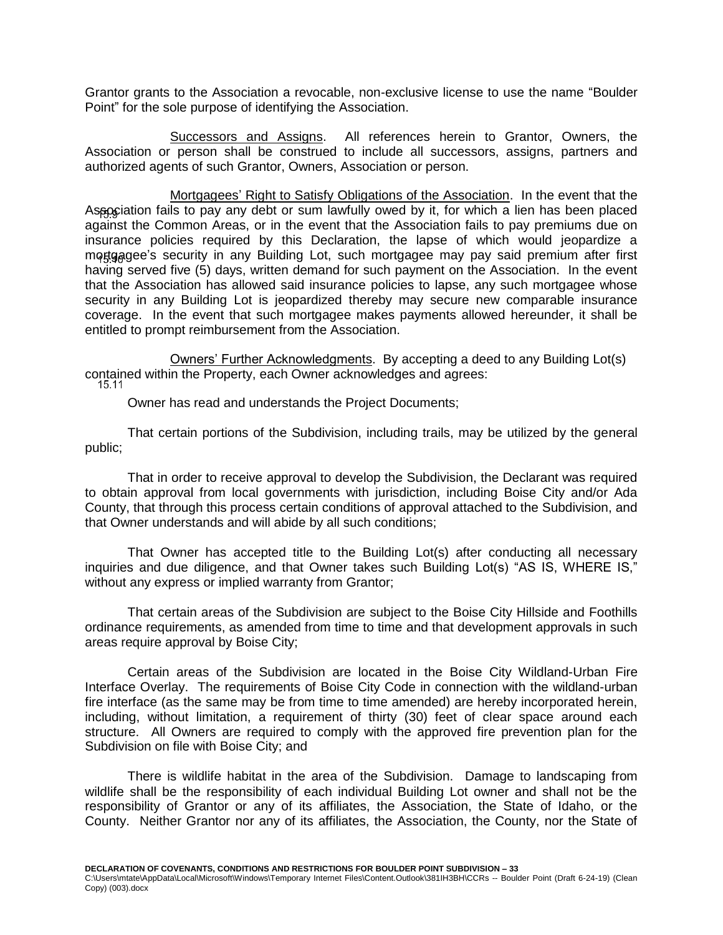Grantor grants to the Association a revocable, non-exclusive license to use the name "Boulder Point" for the sole purpose of identifying the Association.

<span id="page-38-0"></span>Successors and Assigns. All references herein to Grantor, Owners, the Association or person shall be construed to include all successors, assigns, partners and authorized agents of such Grantor, Owners, Association or person.

<span id="page-38-1"></span>Mortgagees' Right to Satisfy Obligations of the Association. In the event that the Association fails to pay any debt or sum lawfully owed by it, for which a lien has been placed against the Common Areas, or in the event that the Association fails to pay premiums due on insurance policies required by this Declaration, the lapse of which would jeopardize a mortgagee's security in any Building Lot, such mortgagee may pay said premium after first having served five (5) days, written demand for such payment on the Association. In the event that the Association has allowed said insurance policies to lapse, any such mortgagee whose security in any Building Lot is jeopardized thereby may secure new comparable insurance coverage. In the event that such mortgagee makes payments allowed hereunder, it shall be entitled to prompt reimbursement from the Association.

<span id="page-38-2"></span>Owners' Further Acknowledgments. By accepting a deed to any Building Lot(s) contained within the Property, each Owner acknowledges and agrees:

Owner has read and understands the Project Documents;

That certain portions of the Subdivision, including trails, may be utilized by the general public;

That in order to receive approval to develop the Subdivision, the Declarant was required to obtain approval from local governments with jurisdiction, including Boise City and/or Ada County, that through this process certain conditions of approval attached to the Subdivision, and that Owner understands and will abide by all such conditions;

That Owner has accepted title to the Building Lot(s) after conducting all necessary inquiries and due diligence, and that Owner takes such Building Lot(s) "AS IS, WHERE IS," without any express or implied warranty from Grantor;

That certain areas of the Subdivision are subject to the Boise City Hillside and Foothills ordinance requirements, as amended from time to time and that development approvals in such areas require approval by Boise City;

Certain areas of the Subdivision are located in the Boise City Wildland-Urban Fire Interface Overlay. The requirements of Boise City Code in connection with the wildland-urban fire interface (as the same may be from time to time amended) are hereby incorporated herein, including, without limitation, a requirement of thirty (30) feet of clear space around each structure. All Owners are required to comply with the approved fire prevention plan for the Subdivision on file with Boise City; and

There is wildlife habitat in the area of the Subdivision. Damage to landscaping from wildlife shall be the responsibility of each individual Building Lot owner and shall not be the responsibility of Grantor or any of its affiliates, the Association, the State of Idaho, or the County. Neither Grantor nor any of its affiliates, the Association, the County, nor the State of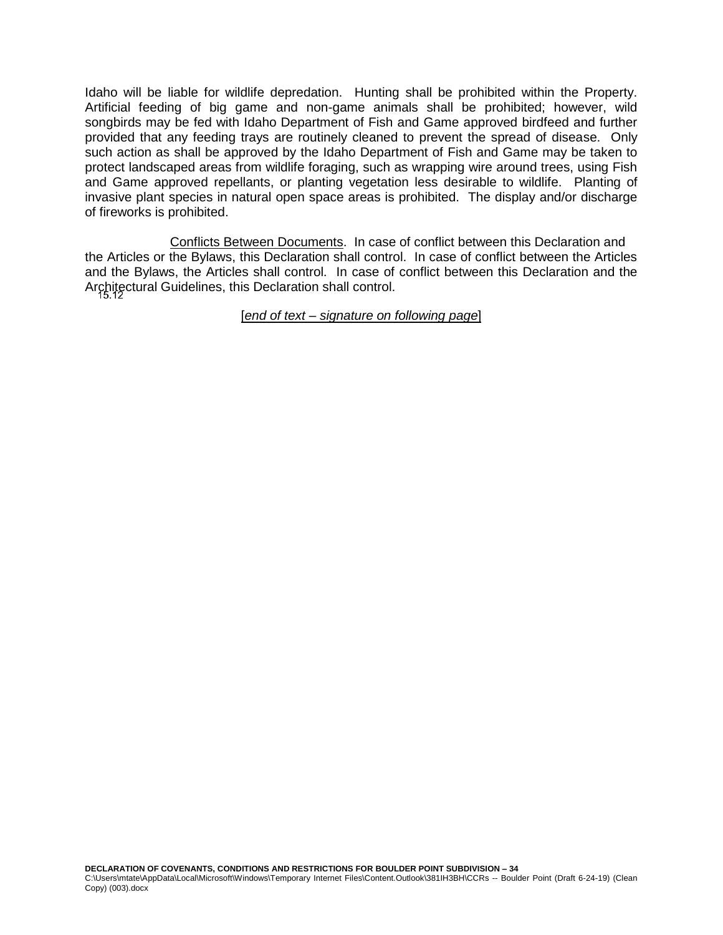Idaho will be liable for wildlife depredation. Hunting shall be prohibited within the Property. Artificial feeding of big game and non-game animals shall be prohibited; however, wild songbirds may be fed with Idaho Department of Fish and Game approved birdfeed and further provided that any feeding trays are routinely cleaned to prevent the spread of disease. Only such action as shall be approved by the Idaho Department of Fish and Game may be taken to protect landscaped areas from wildlife foraging, such as wrapping wire around trees, using Fish and Game approved repellants, or planting vegetation less desirable to wildlife. Planting of invasive plant species in natural open space areas is prohibited. The display and/or discharge of fireworks is prohibited.

<span id="page-39-0"></span>Conflicts Between Documents. In case of conflict between this Declaration and the Articles or the Bylaws, this Declaration shall control. In case of conflict between the Articles and the Bylaws, the Articles shall control. In case of conflict between this Declaration and the Architectural Guidelines, this Declaration shall control.

[*end of text – signature on following page*]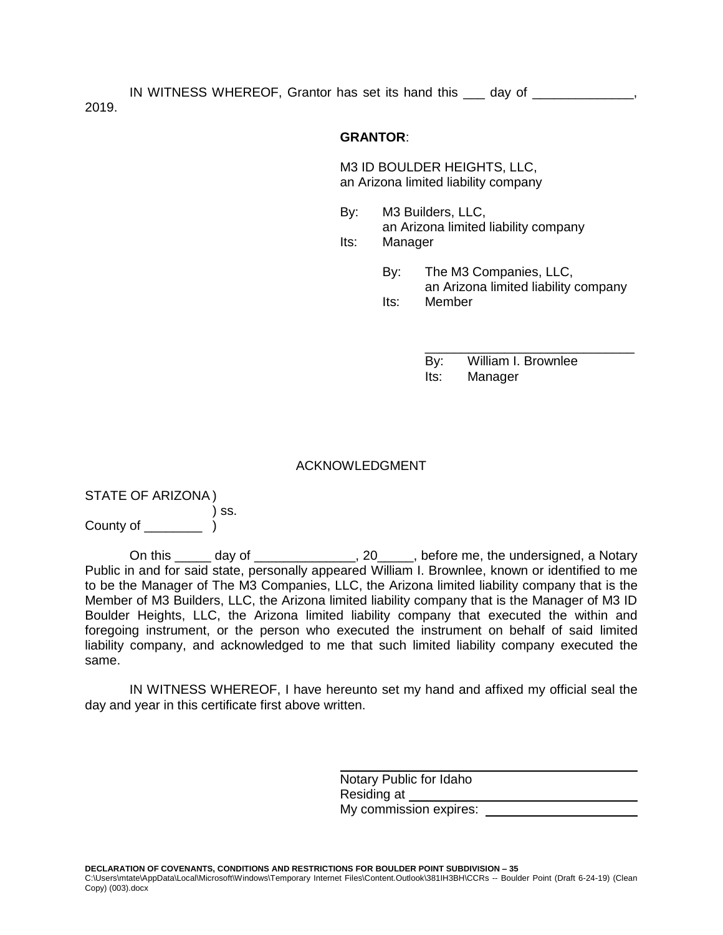IN WITNESS WHEREOF, Grantor has set its hand this \_\_\_ day of \_\_\_\_\_\_\_\_\_\_\_\_\_\_, 2019.

### **GRANTOR**:

M3 ID BOULDER HEIGHTS, LLC, an Arizona limited liability company

- By: M3 Builders, LLC, an Arizona limited liability company Its: Manager
	- By: The M3 Companies, LLC, an Arizona limited liability company Its: Member
		- \_\_\_\_\_\_\_\_\_\_\_\_\_\_\_\_\_\_\_\_\_\_\_\_\_\_\_\_\_ By: William I. Brownlee Its: Manager

#### ACKNOWLEDGMENT

STATE OF ARIZONA ) ) ss. County of  $\qquad \qquad$  )

On this \_\_\_\_\_ day of \_\_\_\_\_\_\_\_\_\_\_\_\_\_, 20\_\_\_\_\_, before me, the undersigned, a Notary Public in and for said state, personally appeared William I. Brownlee, known or identified to me to be the Manager of The M3 Companies, LLC, the Arizona limited liability company that is the Member of M3 Builders, LLC, the Arizona limited liability company that is the Manager of M3 ID Boulder Heights, LLC, the Arizona limited liability company that executed the within and foregoing instrument, or the person who executed the instrument on behalf of said limited liability company, and acknowledged to me that such limited liability company executed the same.

IN WITNESS WHEREOF, I have hereunto set my hand and affixed my official seal the day and year in this certificate first above written.

> Notary Public for Idaho Residing at My commission expires: